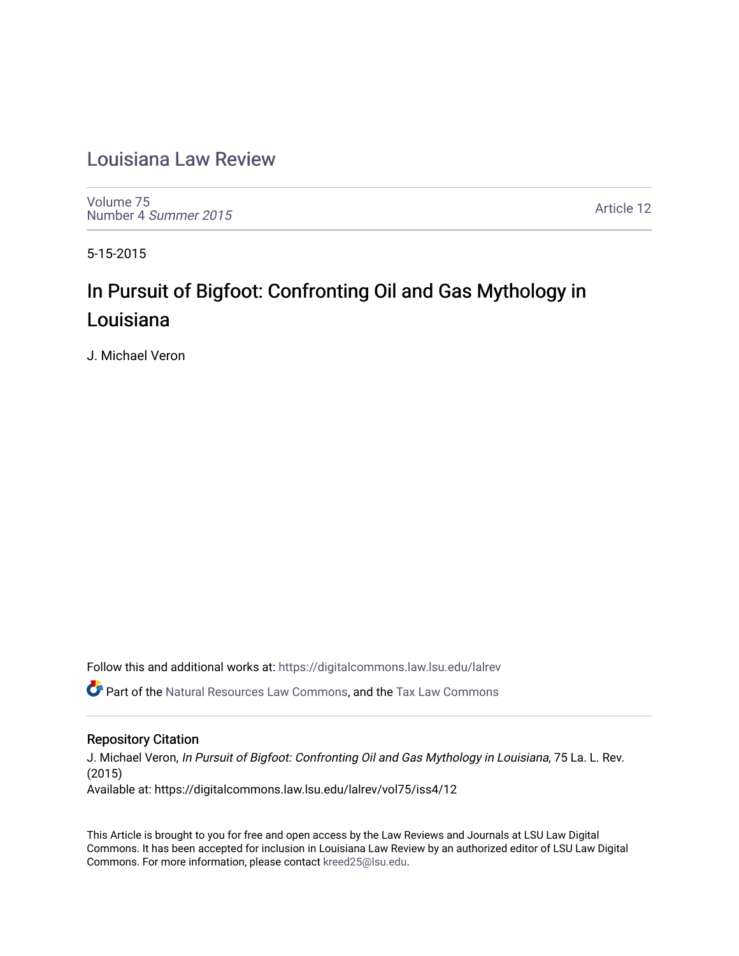## [Louisiana Law Review](https://digitalcommons.law.lsu.edu/lalrev)

[Volume 75](https://digitalcommons.law.lsu.edu/lalrev/vol75) [Number 4](https://digitalcommons.law.lsu.edu/lalrev/vol75/iss4) Summer 2015

[Article 12](https://digitalcommons.law.lsu.edu/lalrev/vol75/iss4/12) 

5-15-2015

# In Pursuit of Bigfoot: Confronting Oil and Gas Mythology in Louisiana

J. Michael Veron

Follow this and additional works at: [https://digitalcommons.law.lsu.edu/lalrev](https://digitalcommons.law.lsu.edu/lalrev?utm_source=digitalcommons.law.lsu.edu%2Flalrev%2Fvol75%2Fiss4%2F12&utm_medium=PDF&utm_campaign=PDFCoverPages)

Part of the [Natural Resources Law Commons](http://network.bepress.com/hgg/discipline/863?utm_source=digitalcommons.law.lsu.edu%2Flalrev%2Fvol75%2Fiss4%2F12&utm_medium=PDF&utm_campaign=PDFCoverPages), and the [Tax Law Commons](http://network.bepress.com/hgg/discipline/898?utm_source=digitalcommons.law.lsu.edu%2Flalrev%2Fvol75%2Fiss4%2F12&utm_medium=PDF&utm_campaign=PDFCoverPages) 

#### Repository Citation

J. Michael Veron, In Pursuit of Bigfoot: Confronting Oil and Gas Mythology in Louisiana, 75 La. L. Rev. (2015) Available at: https://digitalcommons.law.lsu.edu/lalrev/vol75/iss4/12

This Article is brought to you for free and open access by the Law Reviews and Journals at LSU Law Digital Commons. It has been accepted for inclusion in Louisiana Law Review by an authorized editor of LSU Law Digital Commons. For more information, please contact [kreed25@lsu.edu](mailto:kreed25@lsu.edu).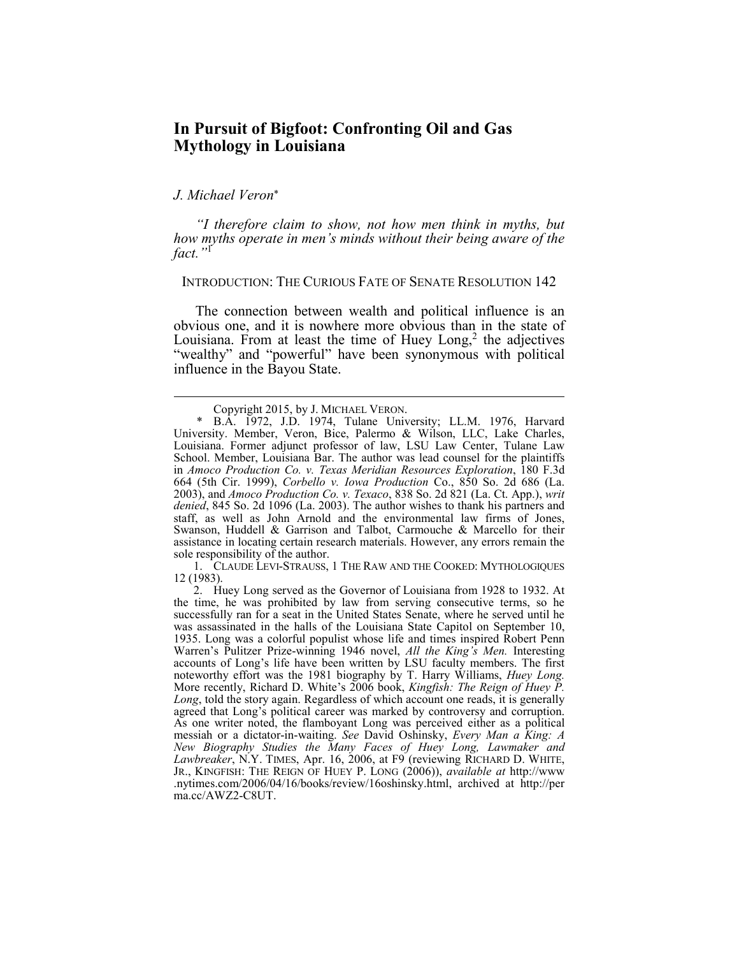### **In Pursuit of Bigfoot: Confronting Oil and Gas Mythology in Louisiana**

#### *J. Michael Veron*

 $\overline{a}$ 

*"I therefore claim to show, not how men think in myths, but how myths operate in men's minds without their being aware of the fact."*<sup>1</sup>

INTRODUCTION: THE CURIOUS FATE OF SENATE RESOLUTION 142

Louisiana. From at least the time of Huey  $Long<sub>1</sub><sup>2</sup>$  the adjectives "wealthy" and "powerful" have been synonymous with political The connection between wealth and political influence is an obvious one, and it is nowhere more obvious than in the state of influence in the Bayou State.

 1. CLAUDE LEVI-STRAUSS, 1 THE RAW AND THE COOKED: MYTHOLOGIQUES 12 (1983).

 Copyright 2015, by J. MICHAEL VERON. \* B.A. 1972, J.D. 1974, Tulane University; LL.M. 1976, Harvard Louisiana. Former adjunct professor of law, LSU Law Center, Tulane Law *denied*, 845 So. 2d 1096 (La. 2003). The author wishes to thank his partners and staff, as well as John Arnold and the environmental law firms of Jones, Swanson, Huddell & Garrison and Talbot, Carmouche & Marcello for their assistance in locating certain research materials. However, any errors remain the University. Member, Veron, Bice, Palermo & Wilson, LLC, Lake Charles, School. Member, Louisiana Bar. The author was lead counsel for the plaintiffs in *Amoco Production Co. v. Texas Meridian Resources Exploration*, 180 F.3d 664 (5th Cir. 1999), *Corbello v. Iowa Production* Co., 850 So. 2d 686 (La. 2003), and *Amoco Production Co. v. Texaco*, 838 So. 2d 821 (La. Ct. App.), *writ*  sole responsibility of the author.

 2. Huey Long served as the Governor of Louisiana from 1928 to 1932. At successfully ran for a seat in the United States Senate, where he served until he was assassinated in the halls of the Louisiana State Capitol on September 10, 1935. Long was a colorful populist whose life and times inspired Robert Penn accounts of Long's life have been written by LSU faculty members. The first noteworthy effort was the 1981 biography by T. Harry Williams, *Huey Long. Long*, told the story again. Regardless of which account one reads, it is generally agreed that Long's political career was marked by controversy and corruption. messiah or a dictator-in-waiting. *See* David Oshinsky, *Every Man a King: A Lawbreaker*, N.Y. TIMES, Apr. 16, 2006, at F9 (reviewing RICHARD D. WHITE, JR., KINGFISH: THE REIGN OF HUEY P. LONG (2006)), *available at* http://www the time, he was prohibited by law from serving consecutive terms, so he Warren's Pulitzer Prize-winning 1946 novel, *All the King's Men.* Interesting More recently, Richard D. White's 2006 book, *Kingfish: The Reign of Huey P.*  As one writer noted, the flamboyant Long was perceived either as a political *New Biography Studies the Many Faces of Huey Long, Lawmaker and*  .nytimes.com/2006/04/16/books/review/16oshinsky.html, archived at http://per ma.cc/AWZ2-C8UT.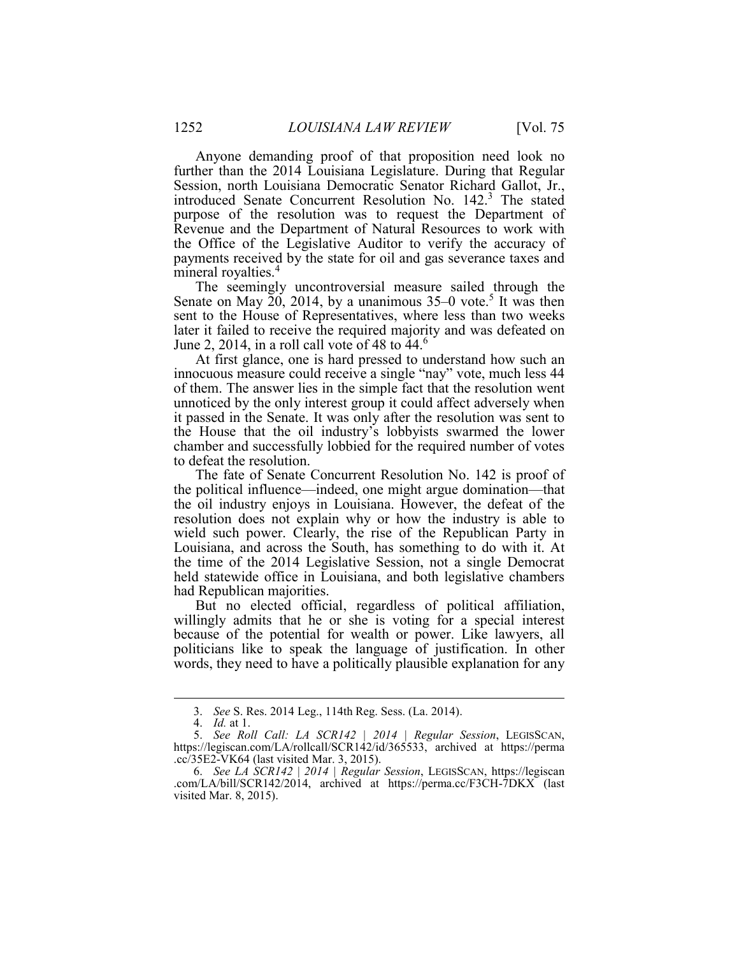Anyone demanding proof of that proposition need look no further than the 2014 Louisiana Legislature. During that Regular the Office of the Legislative Auditor to verify the accuracy of Session, north Louisiana Democratic Senator Richard Gallot, Jr., introduced Senate Concurrent Resolution No. 142.<sup>3</sup> The stated purpose of the resolution was to request the Department of Revenue and the Department of Natural Resources to work with payments received by the state for oil and gas severance taxes and mineral royalties.<sup>4</sup>

 The seemingly uncontroversial measure sailed through the Senate on May  $\tilde{20}$ , 2014, by a unanimous 35–0 vote.<sup>5</sup> It was then later it failed to receive the required majority and was defeated on sent to the House of Representatives, where less than two weeks June 2, 2014, in a roll call vote of 48 to  $44<sup>6</sup>$ 

 innocuous measure could receive a single "nay" vote, much less 44 of them. The answer lies in the simple fact that the resolution went unnoticed by the only interest group it could affect adversely when it passed in the Senate. It was only after the resolution was sent to chamber and successfully lobbied for the required number of votes At first glance, one is hard pressed to understand how such an the House that the oil industry's lobbyists swarmed the lower to defeat the resolution.

 the political influence—indeed, one might argue domination—that the oil industry enjoys in Louisiana. However, the defeat of the resolution does not explain why or how the industry is able to wield such power. Clearly, the rise of the Republican Party in the time of the 2014 Legislative Session, not a single Democrat The fate of Senate Concurrent Resolution No. 142 is proof of Louisiana, and across the South, has something to do with it. At held statewide office in Louisiana, and both legislative chambers had Republican majorities.

 willingly admits that he or she is voting for a special interest because of the potential for wealth or power. Like lawyers, all words, they need to have a politically plausible explanation for any But no elected official, regardless of political affiliation, politicians like to speak the language of justification. In other

 <sup>3.</sup> *See* S. Res. 2014 Leg., 114th Reg. Sess. (La. 2014).

 <sup>4.</sup> *Id.* at 1.

 <sup>5.</sup> *See Roll Call: LA SCR142 | 2014 | Regular Session*, LEGISSCAN, https://legiscan.com/LA/rollcall/SCR142/id/365533, archived at https://perma .cc/35E2-VK64 (last visited Mar. 3, 2015).

 <sup>6.</sup> *See LA SCR142* | *2014 | Regular Session*, LEGISSCAN, https://legiscan .com/LA/bill/SCR142/2014, archived at https://perma.cc/F3CH-7DKX (last visited Mar. 8, 2015).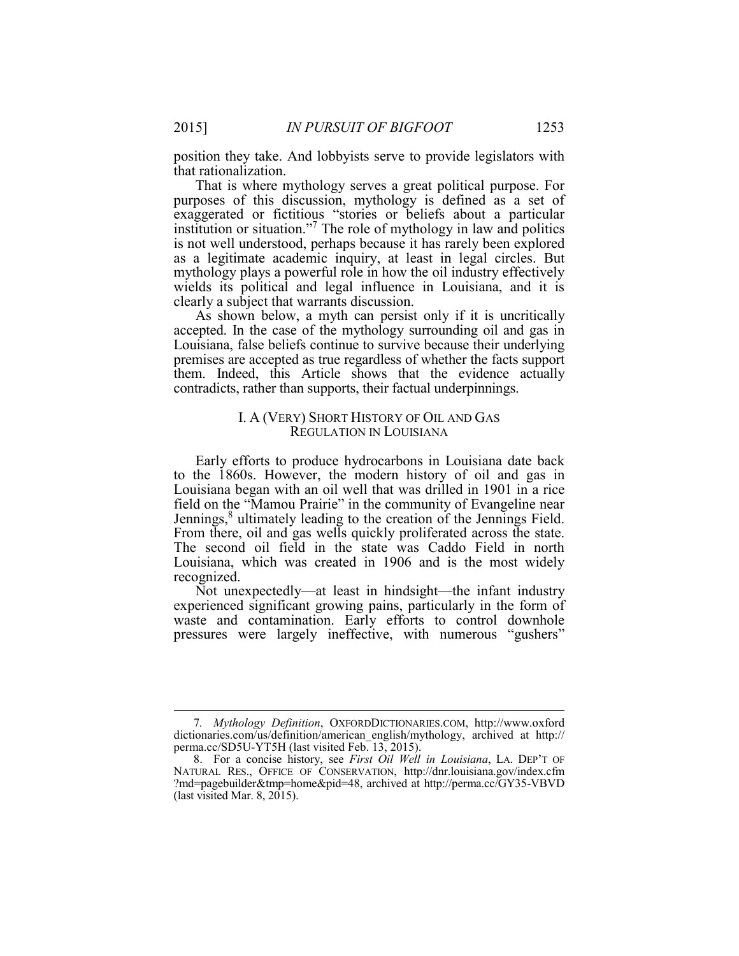position they take. And lobbyists serve to provide legislators with that rationalization.

 That is where mythology serves a great political purpose. For purposes of this discussion, mythology is defined as a set of institution or situation."7 The role of mythology in law and politics mythology plays a powerful role in how the oil industry effectively exaggerated or fictitious "stories or beliefs about a particular is not well understood, perhaps because it has rarely been explored as a legitimate academic inquiry, at least in legal circles. But wields its political and legal influence in Louisiana, and it is clearly a subject that warrants discussion.

 As shown below, a myth can persist only if it is uncritically accepted. In the case of the mythology surrounding oil and gas in premises are accepted as true regardless of whether the facts support them. Indeed, this Article shows that the evidence actually Louisiana, false beliefs continue to survive because their underlying contradicts, rather than supports, their factual underpinnings.

#### I. A (VERY) SHORT HISTORY OF OIL AND GAS REGULATION IN LOUISIANA

 to the 1860s. However, the modern history of oil and gas in field on the "Mamou Prairie" in the community of Evangeline near Louisiana, which was created in 1906 and is the most widely Early efforts to produce hydrocarbons in Louisiana date back Louisiana began with an oil well that was drilled in 1901 in a rice Jennings,<sup>8</sup> ultimately leading to the creation of the Jennings Field. From there, oil and gas wells quickly proliferated across the state. The second oil field in the state was Caddo Field in north recognized.

 experienced significant growing pains, particularly in the form of Not unexpectedly—at least in hindsight—the infant industry waste and contamination. Early efforts to control downhole pressures were largely ineffective, with numerous "gushers"

 perma.cc/SD5U-YT5H (last visited Feb. 13, 2015). 7*. Mythology Definition*, OXFORDDICTIONARIES.COM, http://www.oxford dictionaries.com/us/definition/american\_english/mythology, archived at http://

<sup>8.</sup> For a concise history, see *First Oil Well in Louisiana*, LA. DEP'T OF NATURAL RES., OFFICE OF CONSERVATION, http://dnr.louisiana.gov/index.cfm ?md=pagebuilder&tmp=home&pid=48, archived at http://perma.cc/GY35-VBVD (last visited Mar. 8, 2015).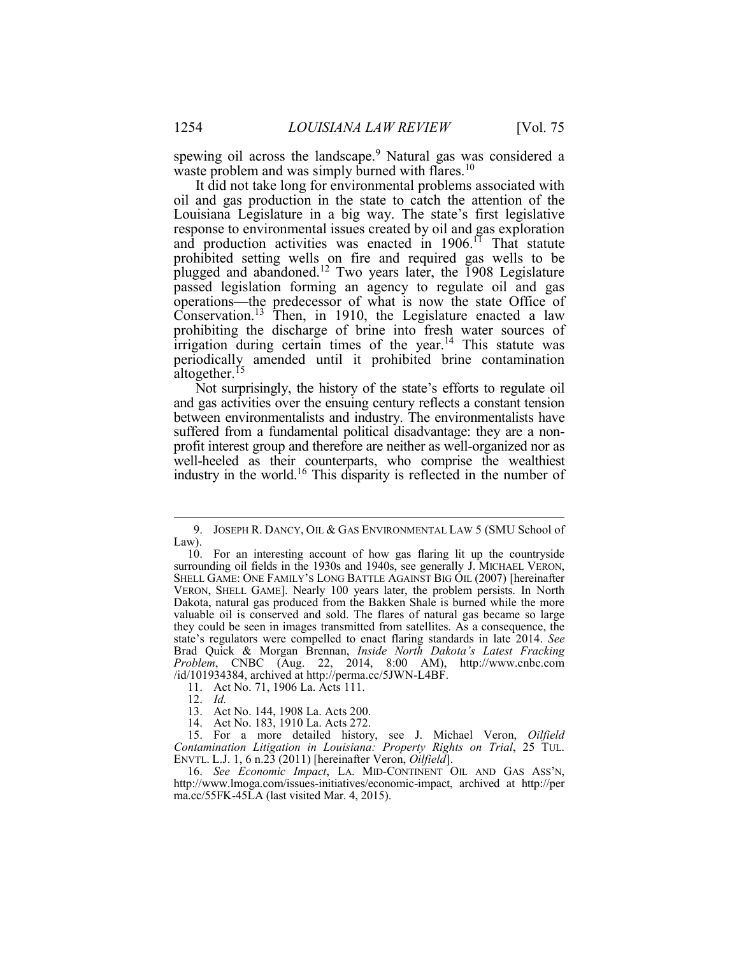spewing oil across the landscape.<sup>9</sup> Natural gas was considered a waste problem and was simply burned with flares.<sup>10</sup>

 Louisiana Legislature in a big way. The state's first legislative prohibited setting wells on fire and required gas wells to be plugged and abandoned.<sup>12</sup> Two years later, the 1908 Legislature passed legislation forming an agency to regulate oil and gas prohibiting the discharge of brine into fresh water sources of irrigation during certain times of the year.<sup>14</sup> This statute was It did not take long for environmental problems associated with oil and gas production in the state to catch the attention of the response to environmental issues created by oil and gas exploration and production activities was enacted in  $1906$ .<sup>11</sup> That statute operations—the predecessor of what is now the state Office of Conservation.<sup>13</sup> Then, in 1910, the Legislature enacted a law periodically amended until it prohibited brine contamination altogether.<sup>15</sup>

 Not surprisingly, the history of the state's efforts to regulate oil suffered from a fundamental political disadvantage: they are a non-<br>profit interest group and therefore are neither as well-organized nor as profit interest group and therefore are neither as well-organized nor as industry in the world.<sup>16</sup> This disparity is reflected in the number of and gas activities over the ensuing century reflects a constant tension between environmentalists and industry. The environmentalists have well-heeled as their counterparts, who comprise the wealthiest

12. *Id.* 

 $\overline{a}$ 

14. Act No. 183, 1910 La. Acts 272.

 Law). 9. JOSEPH R. DANCY, OIL & GAS ENVIRONMENTAL LAW 5 (SMU School of

 VERON, SHELL GAME]. Nearly 100 years later, the problem persists. In North Dakota, natural gas produced from the Bakken Shale is burned while the more valuable oil is conserved and sold. The flares of natural gas became so large they could be seen in images transmitted from satellites. As a consequence, the state's regulators were compelled to enact flaring standards in late 2014. *See Problem*, CNBC (Aug. 22, 2014, 8:00 AM), http://www.cnbc.com 10. For an interesting account of how gas flaring lit up the countryside surrounding oil fields in the 1930s and 1940s, see generally J. MICHAEL VERON, SHELL GAME: ONE FAMILY'S LONG BATTLE AGAINST BIG OIL (2007) [hereinafter Brad Quick & Morgan Brennan, *Inside North Dakota's Latest Fracking*  /id/101934384, archived at http://perma.cc/5JWN-L4BF. 11. Act No. 71, 1906 La. Acts 111.

<sup>11.</sup> Act No. 71, 1906 La. Acts 111.

 13. Act No. 144, 1908 La. Acts 200.

<sup>15.</sup> For a more detailed history, see J. Michael Veron, *Oilfield Contamination Litigation in Louisiana: Property Rights on Trial*, 25 TUL. ENVTL. L.J. 1, 6 n.23 (2011) [hereinafter Veron, *Oilfield*].

 16. *See Economic Impact*, LA. MID-CONTINENT OIL AND GAS ASS'N, http://www.lmoga.com/issues-initiatives/economic-impact, archived at http://per ma.cc/55FK-45LA (last visited Mar. 4, 2015).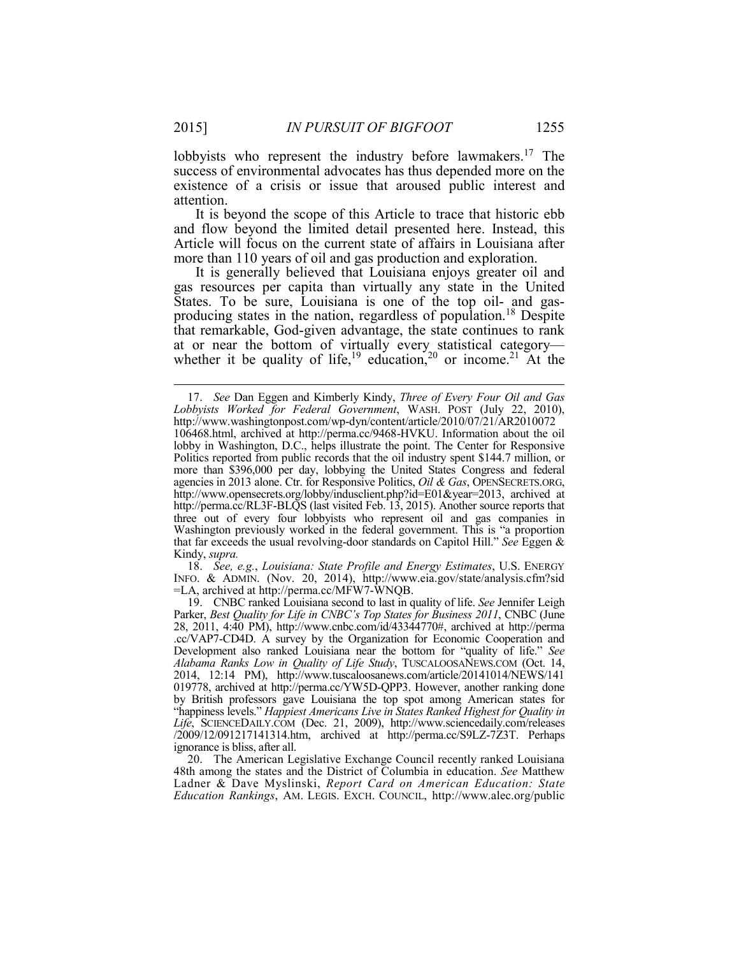existence of a crisis or issue that aroused public interest and lobbyists who represent the industry before lawmakers.<sup>17</sup> The success of environmental advocates has thus depended more on the attention.

 Article will focus on the current state of affairs in Louisiana after It is beyond the scope of this Article to trace that historic ebb and flow beyond the limited detail presented here. Instead, this more than 110 years of oil and gas production and exploration.

 It is generally believed that Louisiana enjoys greater oil and gas resources per capita than virtually any state in the United producing states in the nation, regardless of population.<sup>18</sup> Despite at or near the bottom of virtually every statistical category whether it be quality of life,<sup>19</sup> education,<sup>20</sup> or income.<sup>21</sup> At the States. To be sure, Louisiana is one of the top oil- and gasthat remarkable, God-given advantage, the state continues to rank

 INFO. & ADMIN. (Nov. 20, 2014), http://www.eia.gov/state/analysis.cfm?sid 18. *See, e.g.*, *Louisiana: State Profile and Energy Estimates*, U.S. ENERGY =LA, archived at http://perma.cc/MFW7-WNQB. 19. CNBC ranked Louisiana second to last in quality of life. *See* Jennifer Leigh

 *Lobbyists Worked for Federal Government*, WASH. POST (July 22, 2010), 106468.html, archived at http://perma.cc/9468-HVKU. Information about the oil lobby in Washington, D.C., helps illustrate the point. The Center for Responsive Politics reported from public records that the oil industry spent \$144.7 million, or agencies in 2013 alone. Ctr. for Responsive Politics, *Oil & Gas*, OPENSECRETS.ORG, http://www.opensecrets.org/lobby/indusclient.php?id=E01&year=2013, archived at http://perma.cc/RL3F-BLQS (last visited Feb. 13, 2015). Another source reports that three out of every four lobbyists who represent oil and gas companies in Washington previously worked in the federal government. This is "a proportion that far exceeds the usual revolving-door standards on Capitol Hill." *See* Eggen & 17. *See* Dan Eggen and Kimberly Kindy, *Three of Every Four Oil and Gas*  http://www.washingtonpost.com/wp-dyn/content/article/2010/07/21/AR2010072 more than \$396,000 per day, lobbying the United States Congress and federal Kindy, *supra.* 

 Parker, *Best Quality for Life in CNBC's Top States for Business 2011*, CNBC (June 28, 2011, 4:40 PM), http://www.cnbc.com/id/43344770#, archived at http://perma .cc/VAP7-CD4D. A survey by the Organization for Economic Cooperation and 019778, archived at http://perma.cc/YW5D-QPP3. However, another ranking done by British professors gave Louisiana the top spot among American states for /2009/12/091217141314.htm, archived at http://perma.cc/S9LZ-7Z3T. Perhaps Development also ranked Louisiana near the bottom for "quality of life." *See Alabama Ranks Low in Quality of Life Study*, TUSCALOOSANEWS.COM (Oct. 14, 2014, 12:14 PM), http://www.tuscaloosanews.com/article/20141014/NEWS/141 "happiness levels." *Happiest Americans Live in States Ranked Highest for Quality in Life*, SCIENCEDAILY.COM (Dec. 21, 2009), http://www.sciencedaily.com/releases ignorance is bliss, after all.

 48th among the states and the District of Columbia in education. *See* Matthew *Education Rankings*, AM. LEGIS. EXCH. COUNCIL, http://www.alec.org/public20. The American Legislative Exchange Council recently ranked Louisiana Ladner & Dave Myslinski, *Report Card on American Education: State*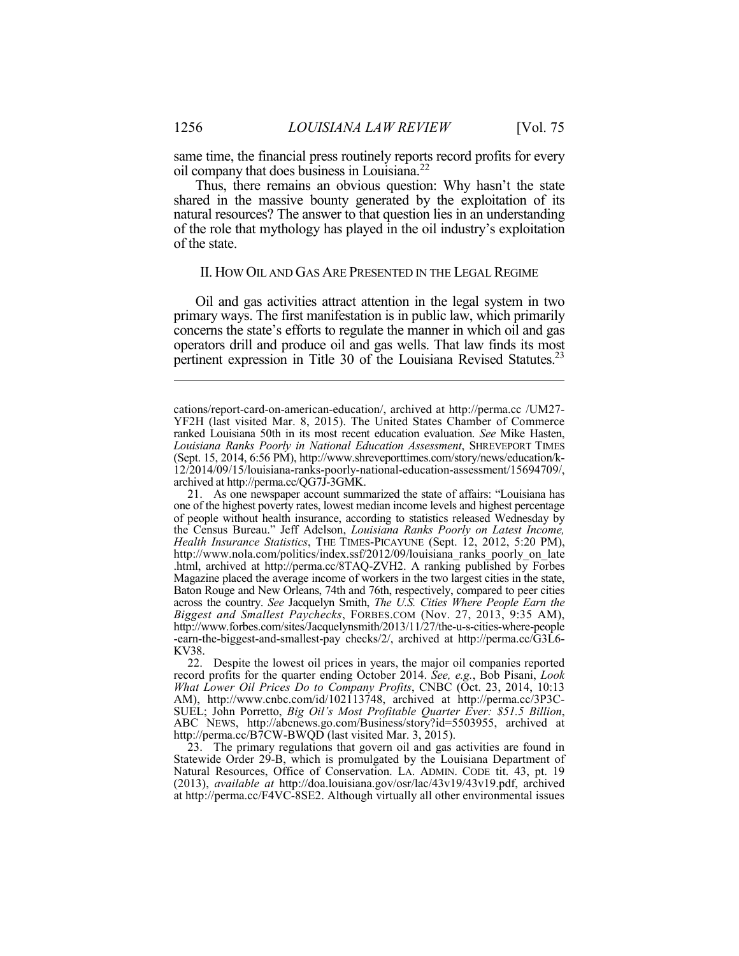same time, the financial press routinely reports record profits for every oil company that does business in Louisiana.22

Thus, there remains an obvious question: Why hasn't the state shared in the massive bounty generated by the exploitation of its natural resources? The answer to that question lies in an understanding of the role that mythology has played in the oil industry's exploitation of the state.

#### II. HOW OIL AND GAS ARE PRESENTED IN THE LEGAL REGIME

 primary ways. The first manifestation is in public law, which primarily operators drill and produce oil and gas wells. That law finds its most Oil and gas activities attract attention in the legal system in two concerns the state's efforts to regulate the manner in which oil and gas pertinent expression in Title 30 of the Louisiana Revised Statutes.<sup>23</sup>

 Statewide Order 29-B, which is promulgated by the Louisiana Department of Natural Resources, Office of Conservation. LA. ADMIN. CODE tit. 43, pt. 19 at http://perma.cc/F4VC-8SE2. Although virtually all other environmental issues23. The primary regulations that govern oil and gas activities are found in (2013), *available at* http://doa.louisiana.gov/osr/lac/43v19/43v19.pdf, archived

YF2H (last visited Mar. 8, 2015). The United States Chamber of Commerce ranked Louisiana 50th in its most recent education evaluation. *See* Mike Hasten, cations/report-card-on-american-education/, archived at http://perma.cc /UM27-*Louisiana Ranks Poorly in National Education Assessment*, SHREVEPORT TIMES (Sept. 15, 2014, 6:56 PM), http://www.shreveporttimes.com/story/news/education/k-12/2014/09/15/louisiana-ranks-poorly-national-education-assessment/15694709/, archived at http://perma.cc/QG7J-3GMK.

 one of the highest poverty rates, lowest median income levels and highest percentage of people without health insurance, according to statistics released Wednesday by .html, archived at http://perma.cc/8TAQ-ZVH2. A ranking published by Forbes Magazine placed the average income of workers in the two largest cities in the state, Baton Rouge and New Orleans, 74th and 76th, respectively, compared to peer cities *Biggest and Smallest Paychecks*, FORBES.COM (Nov. 27, 2013, 9:35 AM), -earn-the-biggest-and-smallest-pay checks/2/, archived at http://perma.cc/G3L6- 21. As one newspaper account summarized the state of affairs: "Louisiana has the Census Bureau." Jeff Adelson, *Louisiana Ranks Poorly on Latest Income, Health Insurance Statistics*, THE TIMES-PICAYUNE (Sept. 12, 2012, 5:20 PM), http://www.nola.com/politics/index.ssf/2012/09/louisiana\_ranks\_poorly\_on\_late across the country. *See* Jacquelyn Smith, *The U.S. Cities Where People Earn the*  http://www.forbes.com/sites/Jacquelynsmith/2013/11/27/the-u-s-cities-where-people KV38.

 *What Lower Oil Prices Do to Company Profits*, CNBC (Oct. 23, 2014, 10:13 22. Despite the lowest oil prices in years, the major oil companies reported record profits for the quarter ending October 2014. *See, e.g.*, Bob Pisani, *Look*  AM), http://www.cnbc.com/id/102113748, archived at http://perma.cc/3P3C-SUEL; John Porretto, *Big Oil's Most Profitable Quarter Ever: \$51.5 Billion*, ABC NEWS, http://abcnews.go.com/Business/story?id=5503955, archived at http://perma.cc/B7CW-BWQD (last visited Mar. 3, 2015).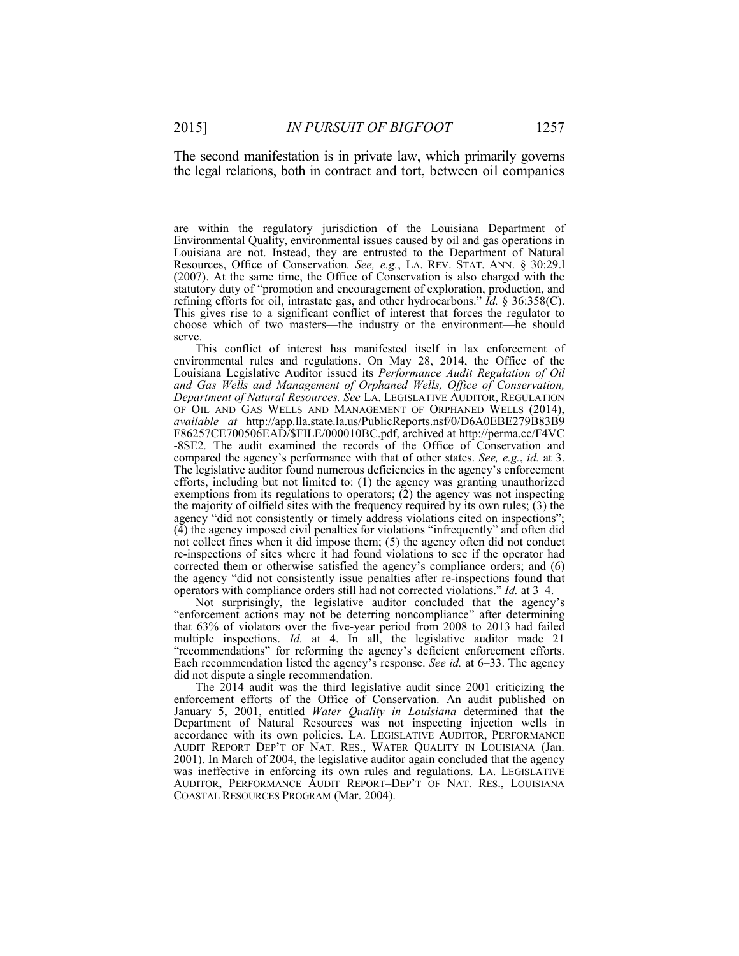1

 the legal relations, both in contract and tort, between oil companies The second manifestation is in private law, which primarily governs

 are within the regulatory jurisdiction of the Louisiana Department of Environmental Quality, environmental issues caused by oil and gas operations in Resources, Office of Conservation*. See, e.g.*, LA. REV. STAT. ANN. § 30:29.l (2007). At the same time, the Office of Conservation is also charged with the This gives rise to a significant conflict of interest that forces the regulator to Louisiana are not. Instead, they are entrusted to the Department of Natural statutory duty of "promotion and encouragement of exploration, production, and refining efforts for oil, intrastate gas, and other hydrocarbons." *Id.* § 36:358(C). choose which of two masters—the industry or the environment—he should serve.

 OF OIL AND GAS WELLS AND MANAGEMENT OF ORPHANED WELLS (2014), compared the agency's performance with that of other states. *See, e.g.*, *id.* at 3. efforts, including but not limited to: (1) the agency was granting unauthorized exemptions from its regulations to operators; (2) the agency was not inspecting agency "did not consistently or timely address violations cited on inspections"; not collect fines when it did impose them; (5) the agency often did not conduct re-inspections of sites where it had found violations to see if the operator had the agency "did not consistently issue penalties after re-inspections found that operators with compliance orders still had not corrected violations." *Id.* at 3–4. This conflict of interest has manifested itself in lax enforcement of environmental rules and regulations. On May 28, 2014, the Office of the Louisiana Legislative Auditor issued its *Performance Audit Regulation of Oil and Gas Wells and Management of Orphaned Wells, Office of Conservation, Department of Natural Resources. See* LA. LEGISLATIVE AUDITOR, REGULATION *available at* http://app.lla.state.la.us/PublicReports.nsf/0/D6A0EBE279B83B9 F86257CE700506EAD/\$FILE/000010BC.pdf, archived at http://perma.cc/F4VC -8SE2*.* The audit examined the records of the Office of Conservation and The legislative auditor found numerous deficiencies in the agency's enforcement the majority of oilfield sites with the frequency required by its own rules; (3) the (4) the agency imposed civil penalties for violations "infrequently" and often did corrected them or otherwise satisfied the agency's compliance orders; and (6)

 that 63% of violators over the five-year period from 2008 to 2013 had failed "recommendations" for reforming the agency's deficient enforcement efforts. Each recommendation listed the agency's response. *See id.* at 6–33. The agency Not surprisingly, the legislative auditor concluded that the agency's "enforcement actions may not be deterring noncompliance" after determining multiple inspections. *Id.* at 4. In all, the legislative auditor made 21 did not dispute a single recommendation.

 enforcement efforts of the Office of Conservation. An audit published on Department of Natural Resources was not inspecting injection wells in accordance with its own policies. LA. LEGISLATIVE AUDITOR, PERFORMANCE AUDIT REPORT–DEP'T OF NAT. RES., WATER QUALITY IN LOUISIANA (Jan. 2001). In March of 2004, the legislative auditor again concluded that the agency was ineffective in enforcing its own rules and regulations. LA. LEGISLATIVE AUDITOR, PERFORMANCE AUDIT REPORT–DEP'T OF NAT. RES., LOUISIANA The 2014 audit was the third legislative audit since 2001 criticizing the January 5, 2001, entitled *Water Quality in Louisiana* determined that the COASTAL RESOURCES PROGRAM (Mar. 2004).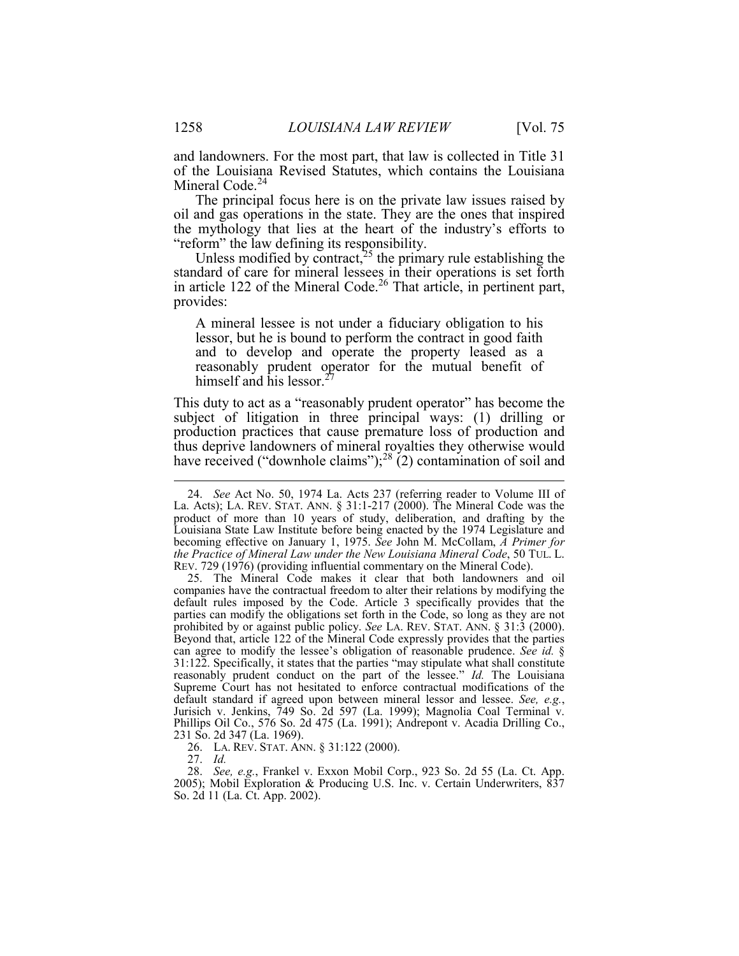and landowners. For the most part, that law is collected in Title 31 Mineral Code.<sup>24</sup> of the Louisiana Revised Statutes, which contains the Louisiana

 The principal focus here is on the private law issues raised by oil and gas operations in the state. They are the ones that inspired the mythology that lies at the heart of the industry's efforts to "reform" the law defining its responsibility.

Unless modified by contract,<sup>25</sup> the primary rule establishing the standard of care for mineral lessees in their operations is set forth in article 122 of the Mineral Code.<sup>26</sup> That article, in pertinent part, provides:

A mineral lessee is not under a fiduciary obligation to his lessor, but he is bound to perform the contract in good faith and to develop and operate the property leased as a reasonably prudent operator for the mutual benefit of himself and his lessor.<sup>27</sup>

 subject of litigation in three principal ways: (1) drilling or This duty to act as a "reasonably prudent operator" has become the production practices that cause premature loss of production and thus deprive landowners of mineral royalties they otherwise would have received ("downhole claims"); $^{28}$  (2) contamination of soil and

27. *Id.* 

 La. Acts); LA. REV. STAT. ANN. § 31:1-217 (2000). The Mineral Code was the product of more than 10 years of study, deliberation, and drafting by the Louisiana State Law Institute before being enacted by the 1974 Legislature and *the Practice of Mineral Law under the New Louisiana Mineral Code*, 50 TUL. L. REV. 729 (1976) (providing influential commentary on the Mineral Code). 24. *See* Act No. 50, 1974 La. Acts 237 (referring reader to Volume III of becoming effective on January 1, 1975. *See* John M. McCollam, *A Primer for* 

 companies have the contractual freedom to alter their relations by modifying the parties can modify the obligations set forth in the Code, so long as they are not prohibited by or against public policy. *See* LA. REV. STAT. ANN. § 31:3 (2000). Beyond that, article 122 of the Mineral Code expressly provides that the parties can agree to modify the lessee's obligation of reasonable prudence. *See id.* § Supreme Court has not hesitated to enforce contractual modifications of the default standard if agreed upon between mineral lessor and lessee. See, e.g., 25. The Mineral Code makes it clear that both landowners and oil default rules imposed by the Code. Article 3 specifically provides that the 31:122. Specifically, it states that the parties "may stipulate what shall constitute reasonably prudent conduct on the part of the lessee." *Id.* The Louisiana Jurisich v. Jenkins, 749 So. 2d 597 (La. 1999); Magnolia Coal Terminal v. Phillips Oil Co., 576 So. 2d 475 (La. 1991); Andrepont v. Acadia Drilling Co., 231 So. 2d 347 (La. 1969).

 26. LA. REV. STAT. ANN. § 31:122 (2000).

 28. *See, e.g.*, Frankel v. Exxon Mobil Corp., 923 So. 2d 55 (La. Ct. App. 2005); Mobil Exploration & Producing U.S. Inc. v. Certain Underwriters, 837 So. 2d 11 (La. Ct. App. 2002).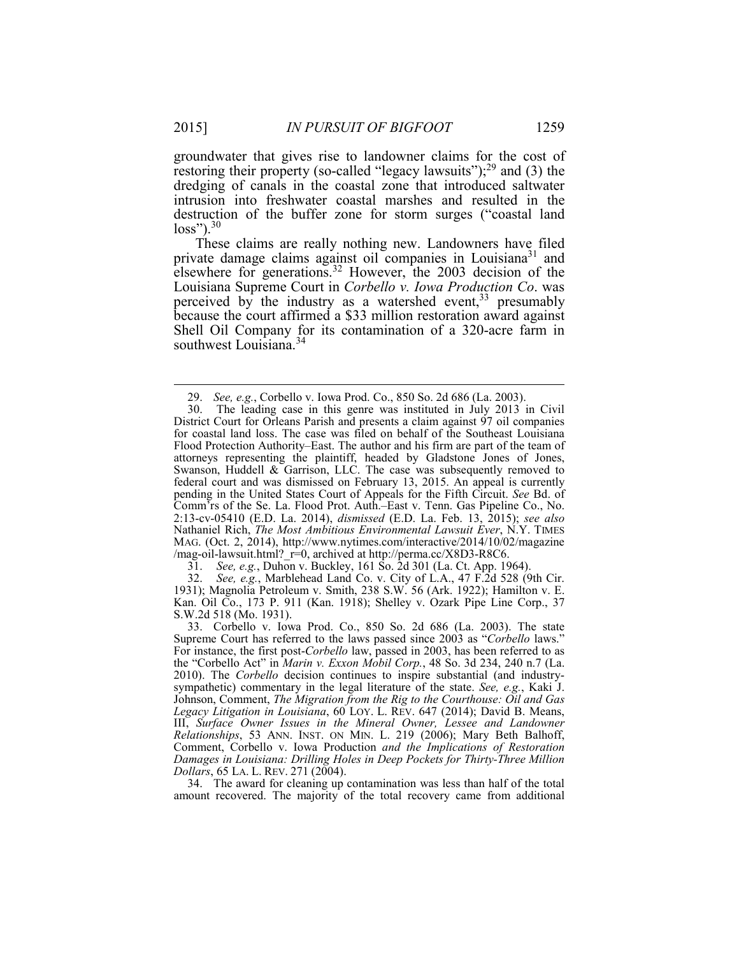<u>.</u>

restoring their property (so-called "legacy lawsuits"); $^{29}$  and (3) the dredging of canals in the coastal zone that introduced saltwater intrusion into freshwater coastal marshes and resulted in the groundwater that gives rise to landowner claims for the cost of destruction of the buffer zone for storm surges ("coastal land  $loss$ ").<sup>30</sup>

 These claims are really nothing new. Landowners have filed private damage claims against oil companies in Louisiana<sup>31</sup> and perceived by the industry as a watershed event,  $33$  presumably southwest Louisiana.<sup>34</sup> elsewhere for generations.<sup>32</sup> However, the 2003 decision of the Louisiana Supreme Court in *Corbello v. Iowa Production Co*. was because the court affirmed a \$33 million restoration award against Shell Oil Company for its contamination of a 320-acre farm in

31. *See, e.g.*, Duhon v. Buckley, 161 So. 2d 301 (La. Ct. App. 1964).

 1931); Magnolia Petroleum v. Smith, 238 S.W. 56 (Ark. 1922); Hamilton v. E. 32. *See, e.g.*, Marblehead Land Co. v. City of L.A., 47 F.2d 528 (9th Cir. Kan. Oil Co., 173 P. 911 (Kan. 1918); Shelley v. Ozark Pipe Line Corp., 37 S.W.2d 518 (Mo. 1931).

 33. Corbello v. Iowa Prod. Co., 850 So. 2d 686 (La. 2003). The state Supreme Court has referred to the laws passed since 2003 as "*Corbello* laws." the "Corbello Act" in *Marin v. Exxon Mobil Corp.*, 48 So. 3d 234, 240 n.7 (La. sympathetic) commentary in the legal literature of the state. *See, e.g.*, Kaki J. Johnson, Comment, *The Migration from the Rig to the Courthouse: Oil and Gas Legacy Litigation in Louisiana*, 60 LOY. L. REV. 647 (2014); David B. Means, *Relationships*, 53 ANN. INST. ON MIN. L. 219 (2006); Mary Beth Balhoff, *Dollars*, 65 LA. L. REV. 271 (2004). For instance, the first post-*Corbello* law, passed in 2003, has been referred to as 2010). The *Corbello* decision continues to inspire substantial (and industry-III, *Surface Owner Issues in the Mineral Owner, Lessee and Landowner*  Comment, Corbello v. Iowa Production *and the Implications of Restoration Damages in Louisiana: Drilling Holes in Deep Pockets for Thirty-Three Million*

34. The award for cleaning up contamination was less than half of the total amount recovered. The majority of the total recovery came from additional

<sup>29.</sup> *See, e.g.*, Corbello v. Iowa Prod. Co., 850 So. 2d 686 (La. 2003).

 30. The leading case in this genre was instituted in July 2013 in Civil District Court for Orleans Parish and presents a claim against 97 oil companies Flood Protection Authority–East. The author and his firm are part of the team of federal court and was dismissed on February 13, 2015. An appeal is currently pending in the United States Court of Appeals for the Fifth Circuit. *See* Bd. of 2:13-cv-05410 (E.D. La. 2014), *dismissed* (E.D. La. Feb. 13, 2015); *see also*  for coastal land loss. The case was filed on behalf of the Southeast Louisiana attorneys representing the plaintiff, headed by Gladstone Jones of Jones, Swanson, Huddell & Garrison, LLC. The case was subsequently removed to Comm'rs of the Se. La. Flood Prot. Auth.–East v. Tenn. Gas Pipeline Co., No. Nathaniel Rich, *The Most Ambitious Environmental Lawsuit Ever*, N.Y. TIMES MAG. (Oct. 2, 2014), http://www.nytimes.com/interactive/2014/10/02/magazine /mag-oil-lawsuit.html?\_r=0, archived at http://perma.cc/X8D3-R8C6.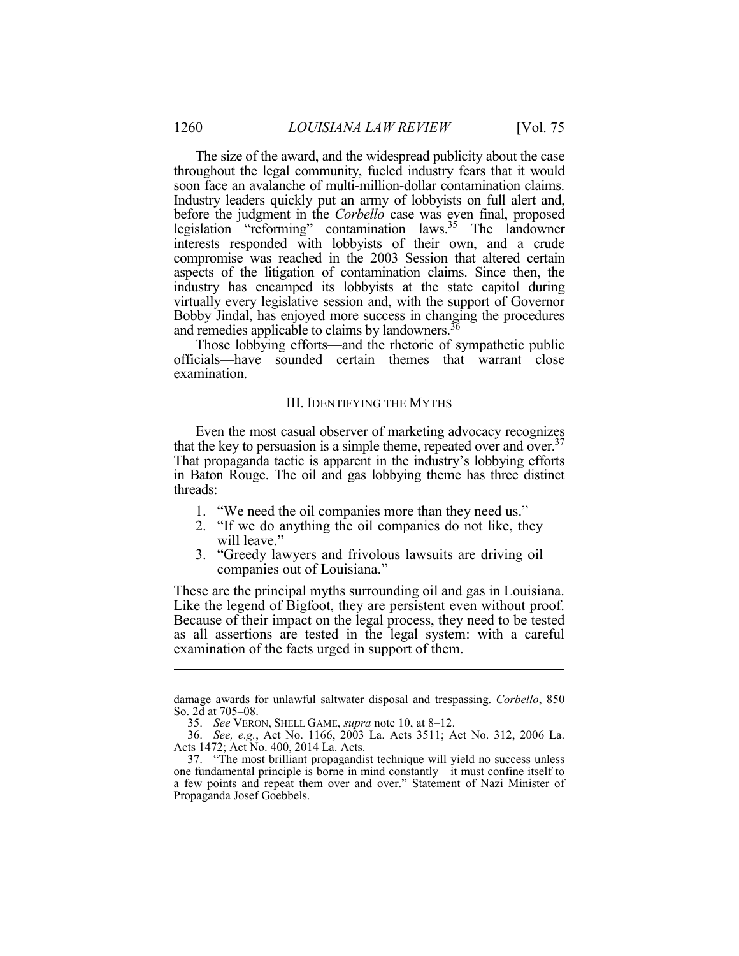The size of the award, and the widespread publicity about the case throughout the legal community, fueled industry fears that it would soon face an avalanche of multi-million-dollar contamination claims. Industry leaders quickly put an army of lobbyists on full alert and, before the judgment in the *Corbello* case was even final, proposed interests responded with lobbyists of their own, and a crude aspects of the litigation of contamination claims. Since then, the virtually every legislative session and, with the support of Governor Bobby Jindal, has enjoyed more success in changing the procedures and remedies applicable to claims by landowners.<sup>36</sup> legislation "reforming" contamination laws.35 The landowner compromise was reached in the 2003 Session that altered certain industry has encamped its lobbyists at the state capitol during

 Those lobbying efforts—and the rhetoric of sympathetic public officials—have sounded certain themes that warrant close examination.

#### III. IDENTIFYING THE MYTHS

 Even the most casual observer of marketing advocacy recognizes That propaganda tactic is apparent in the industry's lobbying efforts that the key to persuasion is a simple theme, repeated over and over.<sup>37</sup> in Baton Rouge. The oil and gas lobbying theme has three distinct threads:

- 1. "We need the oil companies more than they need us."
- 2. "If we do anything the oil companies do not like, they will leave."
- 3. "Greedy lawyers and frivolous lawsuits are driving oil companies out of Louisiana."

 Like the legend of Bigfoot, they are persistent even without proof. These are the principal myths surrounding oil and gas in Louisiana. Because of their impact on the legal process, they need to be tested as all assertions are tested in the legal system: with a careful examination of the facts urged in support of them.

 damage awards for unlawful saltwater disposal and trespassing. *Corbello*, 850 So. 2d at 705–08.

 35. *See* VERON, SHELL GAME, *supra* note 10, at 8–12.

 36. *See, e.g.*, Act No. 1166, 2003 La. Acts 3511; Act No. 312, 2006 La. Acts 1472; Act No. 400, 2014 La. Acts.

<sup>37.</sup> "The most brilliant propagandist technique will yield no success unless one fundamental principle is borne in mind constantly—it must confine itself to a few points and repeat them over and over." Statement of Nazi Minister of Propaganda Josef Goebbels.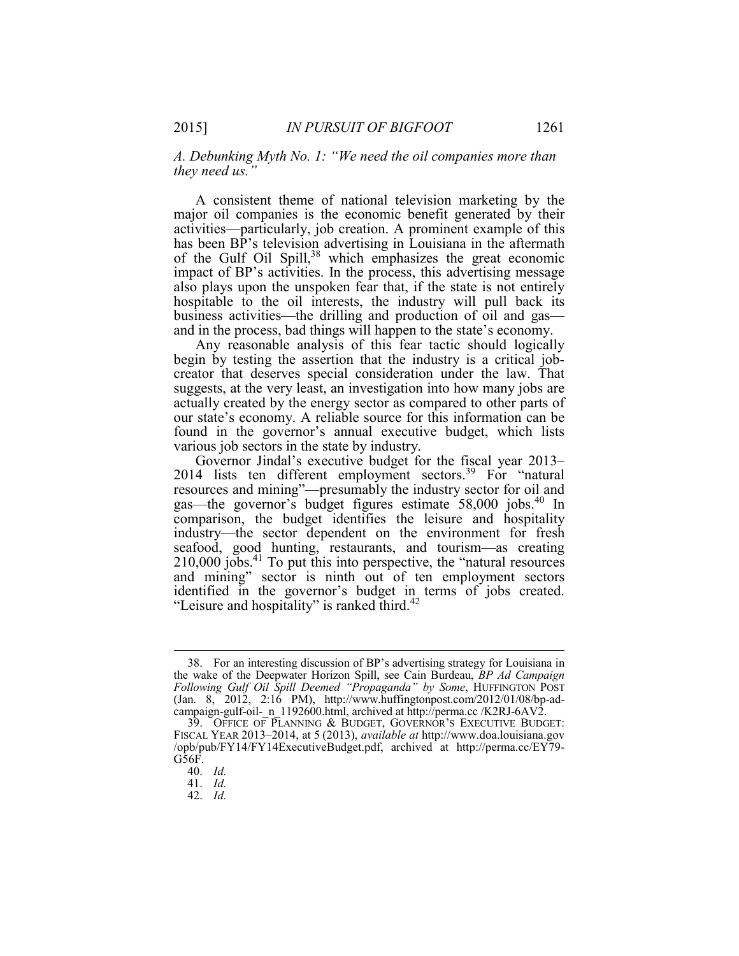*A. Debunking Myth No. 1: "We need the oil companies more than they need us."* 

 A consistent theme of national television marketing by the major oil companies is the economic benefit generated by their of the Gulf Oil Spill,<sup>38</sup> which emphasizes the great economic impact of BP's activities. In the process, this advertising message also plays upon the unspoken fear that, if the state is not entirely activities—particularly, job creation. A prominent example of this has been BP's television advertising in Louisiana in the aftermath hospitable to the oil interests, the industry will pull back its business activities—the drilling and production of oil and gas and in the process, bad things will happen to the state's economy.

 Any reasonable analysis of this fear tactic should logically begin by testing the assertion that the industry is a critical job- actually created by the energy sector as compared to other parts of our state's economy. A reliable source for this information can be creator that deserves special consideration under the law. That suggests, at the very least, an investigation into how many jobs are found in the governor's annual executive budget, which lists various job sectors in the state by industry.

 Governor Jindal's executive budget for the fiscal year 2013– resources and mining"—presumably the industry sector for oil and  $210,000$  jobs.<sup>41</sup> To put this into perspective, the "natural resources and mining" sector is ninth out of ten employment sectors 2014 lists ten different employment sectors.<sup>39</sup> For "natural" gas—the governor's budget figures estimate 58,000 jobs.40 In comparison, the budget identifies the leisure and hospitality industry—the sector dependent on the environment for fresh seafood, good hunting, restaurants, and tourism—as creating identified in the governor's budget in terms of jobs created. "Leisure and hospitality" is ranked third.<sup>42</sup>

<sup>38.</sup> For an interesting discussion of BP's advertising strategy for Louisiana in the wake of the Deepwater Horizon Spill, see Cain Burdeau, *BP Ad Campaign Following Gulf Oil Spill Deemed "Propaganda" by Some*, HUFFINGTON POST (Jan. 8, 2012, 2:16 PM), http://www.huffingtonpost.com/2012/01/08/bp-adcampaign-gulf-oil- n\_1192600.html, archived at http://perma.cc /K2RJ-6AV2.

 39. OFFICE OF PLANNING & BUDGET, GOVERNOR'S EXECUTIVE BUDGET: FISCAL YEAR 2013–2014, at 5 (2013), *available at* http://www.doa.louisiana.gov /opb/pub/FY14/FY14ExecutiveBudget.pdf, archived at http://perma.cc/EY79- G56F.

<sup>40.</sup> *Id.* 

<sup>41.</sup> *Id.* 

<sup>42.</sup> *Id.*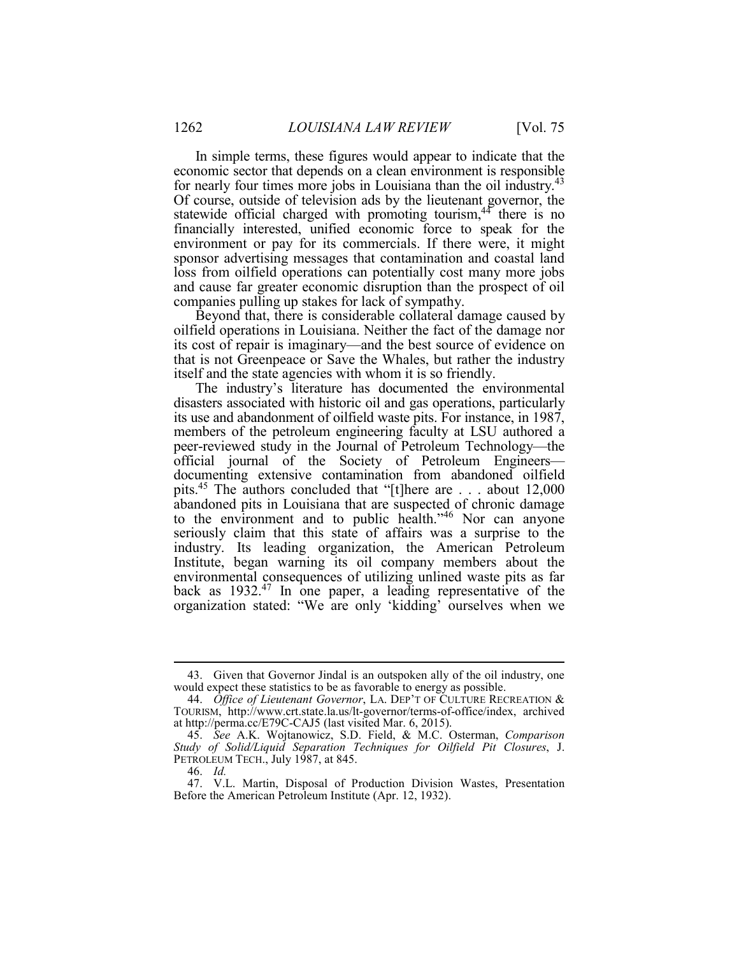In simple terms, these figures would appear to indicate that the financially interested, unified economic force to speak for the environment or pay for its commercials. If there were, it might loss from oilfield operations can potentially cost many more jobs and cause far greater economic disruption than the prospect of oil economic sector that depends on a clean environment is responsible for nearly four times more jobs in Louisiana than the oil industry.<sup>43</sup> Of course, outside of television ads by the lieutenant governor, the statewide official charged with promoting tourism, $44$  there is no sponsor advertising messages that contamination and coastal land companies pulling up stakes for lack of sympathy.

 Beyond that, there is considerable collateral damage caused by oilfield operations in Louisiana. Neither the fact of the damage nor its cost of repair is imaginary—and the best source of evidence on that is not Greenpeace or Save the Whales, but rather the industry itself and the state agencies with whom it is so friendly.

 The industry's literature has documented the environmental disasters associated with historic oil and gas operations, particularly its use and abandonment of oilfield waste pits. For instance, in 1987, members of the petroleum engineering faculty at LSU authored a official journal of the Society of Petroleum Engineers— seriously claim that this state of affairs was a surprise to the environmental consequences of utilizing unlined waste pits as far peer-reviewed study in the Journal of Petroleum Technology—the documenting extensive contamination from abandoned oilfield pits.45 The authors concluded that "[t]here are . . . about 12,000 abandoned pits in Louisiana that are suspected of chronic damage to the environment and to public health."<sup>46</sup> Nor can anyone industry. Its leading organization, the American Petroleum Institute, began warning its oil company members about the back as 1932.47 In one paper, a leading representative of the organization stated: "We are only 'kidding' ourselves when we

<sup>43.</sup> Given that Governor Jindal is an outspoken ally of the oil industry, one would expect these statistics to be as favorable to energy as possible.

<sup>44.</sup> *Office of Lieutenant Governor*, LA. DEP'T OF CULTURE RECREATION & TOURISM, http://www.crt.state.la.us/lt-governor/terms-of-office/index, archived at http://perma.cc/E79C-CAJ5 (last visited Mar. 6, 2015).

PETROLEUM TECH., July 1987, at 845. 45. *See* A.K. Wojtanowicz, S.D. Field, & M.C. Osterman, *Comparison Study of Solid/Liquid Separation Techniques for Oilfield Pit Closures*, J.

<sup>46.</sup> *Id.* 

 47. V.L. Martin, Disposal of Production Division Wastes, Presentation Before the American Petroleum Institute (Apr. 12, 1932).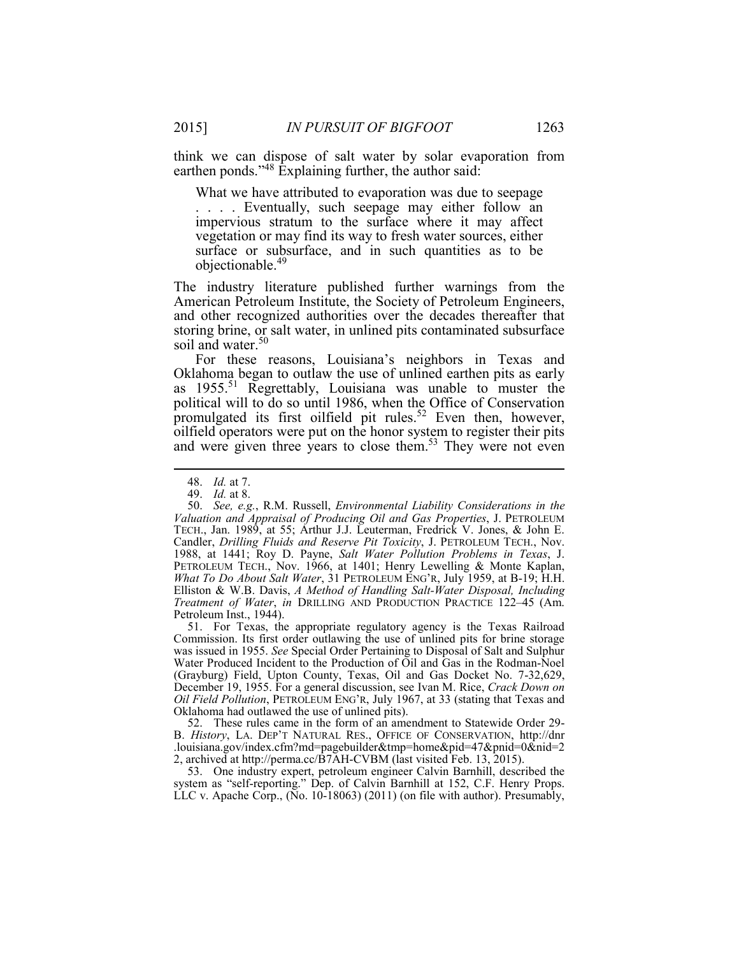think we can dispose of salt water by solar evaporation from earthen ponds."<sup>48</sup> Explaining further, the author said:

 impervious stratum to the surface where it may affect surface or subsurface, and in such quantities as to be What we have attributed to evaporation was due to seepage . . . . Eventually, such seepage may either follow an vegetation or may find its way to fresh water sources, either objectionable.<sup>49</sup>

 The industry literature published further warnings from the and other recognized authorities over the decades thereafter that storing brine, or salt water, in unlined pits contaminated subsurface American Petroleum Institute, the Society of Petroleum Engineers, soil and water.<sup>50</sup>

 Oklahoma began to outlaw the use of unlined earthen pits as early and were given three years to close them.<sup>53</sup> They were not even For these reasons, Louisiana's neighbors in Texas and as 1955.<sup>51</sup> Regrettably, Louisiana was unable to muster the political will to do so until 1986, when the Office of Conservation promulgated its first oilfield pit rules.<sup>52</sup> Even then, however, oilfield operators were put on the honor system to register their pits

 $\overline{a}$ 

 51. For Texas, the appropriate regulatory agency is the Texas Railroad Commission. Its first order outlawing the use of unlined pits for brine storage was issued in 1955. *See* Special Order Pertaining to Disposal of Salt and Sulphur Water Produced Incident to the Production of Oil and Gas in the Rodman-Noel *Oil Field Pollution*, PETROLEUM ENG'R, July 1967, at 33 (stating that Texas and (Grayburg) Field, Upton County, Texas, Oil and Gas Docket No. 7-32,629, December 19, 1955. For a general discussion, see Ivan M. Rice, *Crack Down on*  Oklahoma had outlawed the use of unlined pits).

 B. *History*, LA. DEP'T NATURAL RES., OFFICE OF CONSERVATION, http://dnr 52. These rules came in the form of an amendment to Statewide Order 29- .louisiana.gov/index.cfm?md=pagebuilder&tmp=home&pid=47&pnid=0&nid=2 2, archived at http://perma.cc/B7AH-CVBM (last visited Feb. 13, 2015).

 53. One industry expert, petroleum engineer Calvin Barnhill, described the LLC v. Apache Corp., (No. 10-18063) (2011) (on file with author). Presumably,system as "self-reporting." Dep. of Calvin Barnhill at 152, C.F. Henry Props.

<sup>48.</sup> *Id.* at 7.

<sup>49.</sup> *Id.* at 8.

 50. *See, e.g.*, R.M. Russell, *Environmental Liability Considerations in the* TECH., Jan. 1989, at 55; Arthur J.J. Leuterman, Fredrick V. Jones, & John E. 1988, at 1441; Roy D. Payne, *Salt Water Pollution Problems in Texas*, J. PETROLEUM TECH., Nov. 1966, at 1401; Henry Lewelling & Monte Kaplan, Elliston & W.B. Davis, *A Method of Handling Salt-Water Disposal, Including*  Petroleum Inst., 1944). *Valuation and Appraisal of Producing Oil and Gas Properties*, J. PETROLEUM Candler, *Drilling Fluids and Reserve Pit Toxicity*, J. PETROLEUM TECH., Nov. *What To Do About Salt Water*, 31 PETROLEUM ENG'R, July 1959, at B-19; H.H. *Treatment of Water*, *in* DRILLING AND PRODUCTION PRACTICE 122–45 (Am.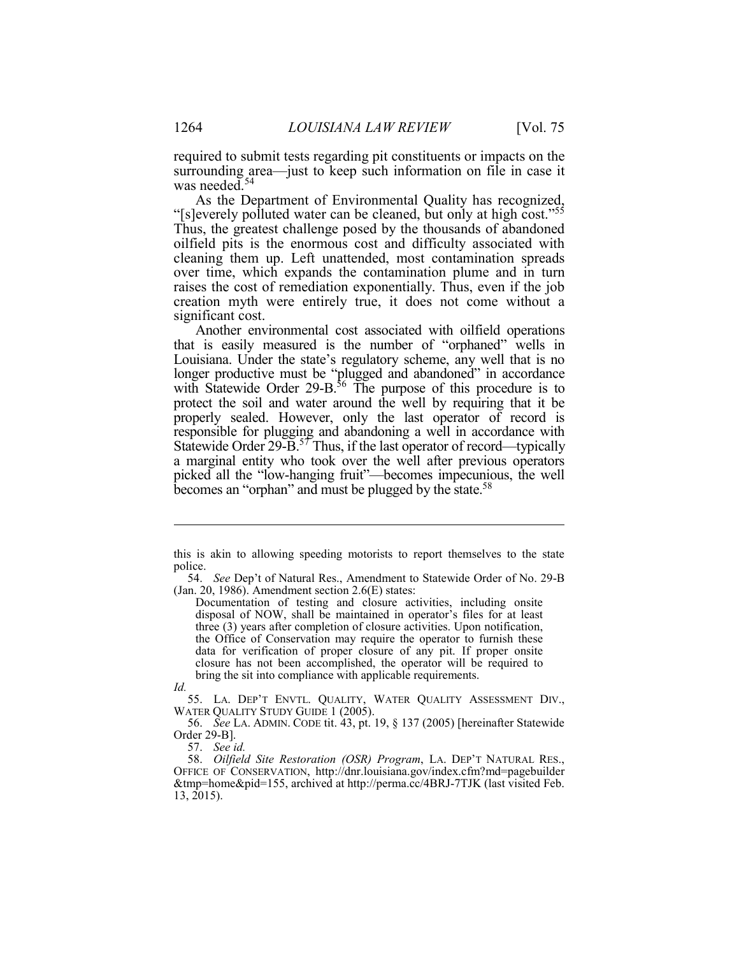required to submit tests regarding pit constituents or impacts on the surrounding area—just to keep such information on file in case it was needed.<sup>54</sup>

"[s]everely polluted water can be cleaned, but only at high cost."<sup>55</sup> oilfield pits is the enormous cost and difficulty associated with over time, which expands the contamination plume and in turn raises the cost of remediation exponentially. Thus, even if the job As the Department of Environmental Quality has recognized, Thus, the greatest challenge posed by the thousands of abandoned cleaning them up. Left unattended, most contamination spreads creation myth were entirely true, it does not come without a significant cost.

 that is easily measured is the number of "orphaned" wells in Louisiana. Under the state's regulatory scheme, any well that is no protect the soil and water around the well by requiring that it be properly sealed. However, only the last operator of record is responsible for plugging and abandoning a well in accordance with a marginal entity who took over the well after previous operators becomes an "orphan" and must be plugged by the state.<sup>58</sup> Another environmental cost associated with oilfield operations longer productive must be "plugged and abandoned" in accordance with Statewide Order 29-B.<sup>56</sup> The purpose of this procedure is to Statewide Order 29-B.<sup>57</sup> Thus, if the last operator of record—typically picked all the "low-hanging fruit"—becomes impecunious, the well

 this is akin to allowing speeding motorists to report themselves to the state police.

 54. *See* Dep't of Natural Res., Amendment to Statewide Order of No. 29-B (Jan. 20, 1986). Amendment section  $2.6(E)$  states:

 Documentation of testing and closure activities, including onsite three (3) years after completion of closure activities. Upon notification, closure has not been accomplished, the operator will be required to disposal of NOW, shall be maintained in operator's files for at least the Office of Conservation may require the operator to furnish these data for verification of proper closure of any pit. If proper onsite bring the sit into compliance with applicable requirements.

*Id.* 

<sup>55.</sup> LA. DEP'T ENVTL. QUALITY, WATER QUALITY ASSESSMENT DIV., WATER QUALITY STUDY GUIDE 1 (2005).

 56. *See* LA. ADMIN. CODE tit. 43, pt. 19, § 137 (2005) [hereinafter Statewide Order 29-B].

<sup>57.</sup> *See id.* 

<sup>58.</sup> *Oilfield Site Restoration (OSR) Program*, LA. DEP'T NATURAL RES., OFFICE OF CONSERVATION, http://dnr.louisiana.gov/index.cfm?md=pagebuilder &tmp=home&pid=155, archived at http://perma.cc/4BRJ-7TJK (last visited Feb. 13, 2015).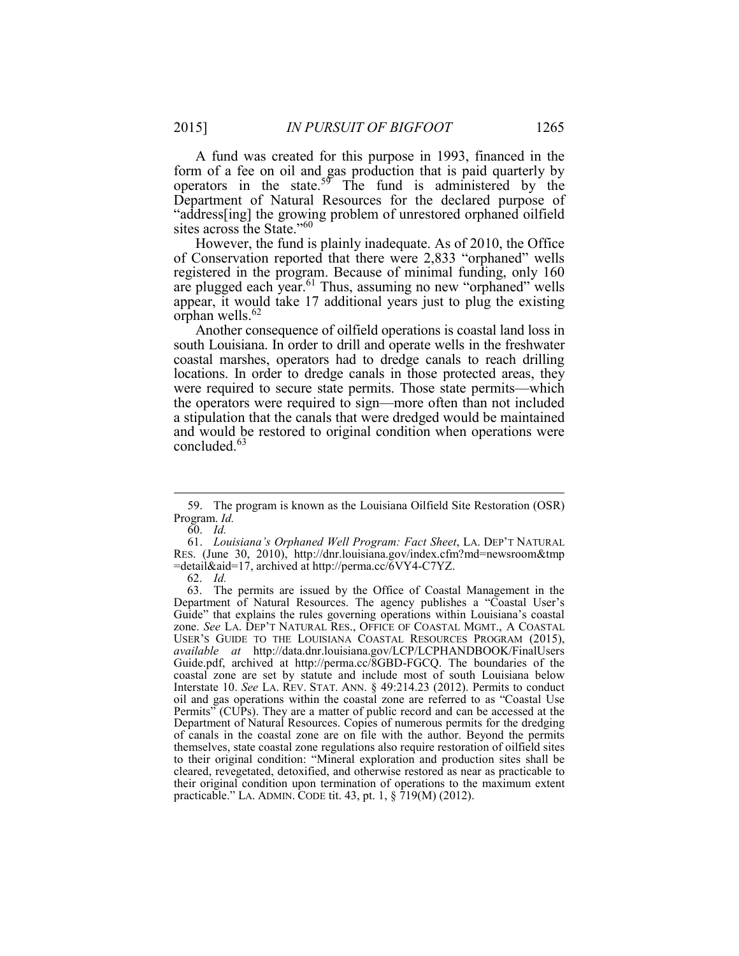Í Department of Natural Resources for the declared purpose of "address[ing] the growing problem of unrestored orphaned oilfield sites across the State."<sup>60</sup> A fund was created for this purpose in 1993, financed in the form of a fee on oil and gas production that is paid quarterly by operators in the state.<sup>59</sup> The fund is administered by the

 registered in the program. Because of minimal funding, only 160 However, the fund is plainly inadequate. As of 2010, the Office of Conservation reported that there were 2,833 "orphaned" wells are plugged each year.<sup>61</sup> Thus, assuming no new "orphaned" wells appear, it would take 17 additional years just to plug the existing orphan wells. $62$ 

 south Louisiana. In order to drill and operate wells in the freshwater coastal marshes, operators had to dredge canals to reach drilling locations. In order to dredge canals in those protected areas, they were required to secure state permits. Those state permits—which concluded.<sup>63</sup> Another consequence of oilfield operations is coastal land loss in the operators were required to sign—more often than not included a stipulation that the canals that were dredged would be maintained and would be restored to original condition when operations were

<sup>59.</sup> The program is known as the Louisiana Oilfield Site Restoration (OSR) Program. *Id.* 

<sup>60.</sup> *Id.* 

<sup>61.</sup> *Louisiana's Orphaned Well Program: Fact Sheet*, LA. DEP'T NATURAL RES. (June 30, 2010), http://dnr.louisiana.gov/index.cfm?md=newsroom&tmp =detail&aid=17, archived at http://perma.cc/6VY4-C7YZ.

<sup>62.</sup> *Id.* 

 Department of Natural Resources. The agency publishes a "Coastal User's zone. *See* LA. DEP'T NATURAL RES., OFFICE OF COASTAL MGMT., A COASTAL USER'S GUIDE TO THE LOUISIANA COASTAL RESOURCES PROGRAM (2015), Guide.pdf, archived at http://perma.cc/8GBD-FGCQ. The boundaries of the oil and gas operations within the coastal zone are referred to as "Coastal Use Permits" (CUPs). They are a matter of public record and can be accessed at the Department of Natural Resources. Copies of numerous permits for the dredging of canals in the coastal zone are on file with the author. Beyond the permits to their original condition: "Mineral exploration and production sites shall be their original condition upon termination of operations to the maximum extent practicable." LA. ADMIN. CODE tit. 43, pt. 1, § 719(M) (2012). 63. The permits are issued by the Office of Coastal Management in the Guide" that explains the rules governing operations within Louisiana's coastal *available at* http://data.dnr.louisiana.gov/LCP/LCPHANDBOOK/FinalUsers coastal zone are set by statute and include most of south Louisiana below Interstate 10. *See* LA. REV. STAT. ANN. § 49:214.23 (2012). Permits to conduct themselves, state coastal zone regulations also require restoration of oilfield sites cleared, revegetated, detoxified, and otherwise restored as near as practicable to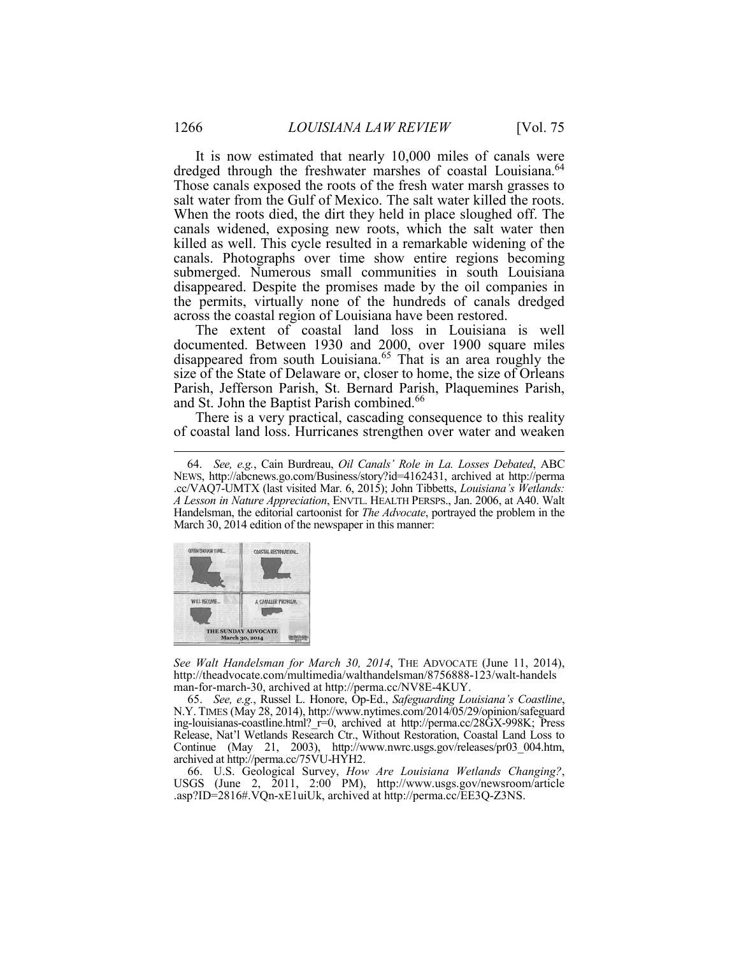salt water from the Gulf of Mexico. The salt water killed the roots. When the roots died, the dirt they held in place sloughed off. The canals widened, exposing new roots, which the salt water then canals. Photographs over time show entire regions becoming disappeared. Despite the promises made by the oil companies in It is now estimated that nearly 10,000 miles of canals were dredged through the freshwater marshes of coastal Louisiana.<sup>64</sup> Those canals exposed the roots of the fresh water marsh grasses to killed as well. This cycle resulted in a remarkable widening of the submerged. Numerous small communities in south Louisiana the permits, virtually none of the hundreds of canals dredged across the coastal region of Louisiana have been restored.

 The extent of coastal land loss in Louisiana is well disappeared from south Louisiana.<sup>65</sup> That is an area roughly the documented. Between 1930 and 2000, over 1900 square miles size of the State of Delaware or, closer to home, the size of Orleans Parish, Jefferson Parish, St. Bernard Parish, Plaquemines Parish, and St. John the Baptist Parish combined.<sup>66</sup>

 There is a very practical, cascading consequence to this reality of coastal land loss. Hurricanes strengthen over water and weaken

 .cc/VAQ7-UMTX (last visited Mar. 6, 2015); John Tibbetts, *Louisiana's Wetlands: A Lesson in Nature Appreciation*, ENVTL. HEALTH PERSPS., Jan. 2006, at A40. Walt March 30, 2014 edition of the newspaper in this manner: 64. *See, e.g.*, Cain Burdreau, *Oil Canals' Role in La. Losses Debated*, ABC NEWS, http://abcnews.go.com/Business/story?id=4162431, archived at http://perma Handelsman, the editorial cartoonist for *The Advocate*, portrayed the problem in the



*See Walt Handelsman for March 30, 2014*, THE ADVOCATE (June 11, 2014), http://theadvocate.com/multimedia/walthandelsman/8756888-123/walt-handels man-for-march-30, archived at http://perma.cc/NV8E-4KUY.

 65. *See, e.g.*, Russel L. Honore, Op-Ed., *Safeguarding Louisiana's Coastline*, N.Y. TIMES (May 28, 2014), http://www.nytimes.com/2014/05/29/opinion/safeguard Release, Nat'l Wetlands Research Ctr., Without Restoration, Coastal Land Loss to Continue (May 21, 2003), http://www.nwrc.usgs.gov/releases/pr03\_004.htm, ing-louisianas-coastline.html? r=0, archived at http://perma.cc/28GX-998K; Press archived at http://perma.cc/75VU-HYH2.

66. U.S. Geological Survey, *How Are Louisiana Wetlands Changing?*, USGS (June 2, 2011, 2:00 PM), http://www.usgs.gov/newsroom/article .asp?ID=2816#.VQn-xE1uiUk, archived at http://perma.cc/EE3Q-Z3NS.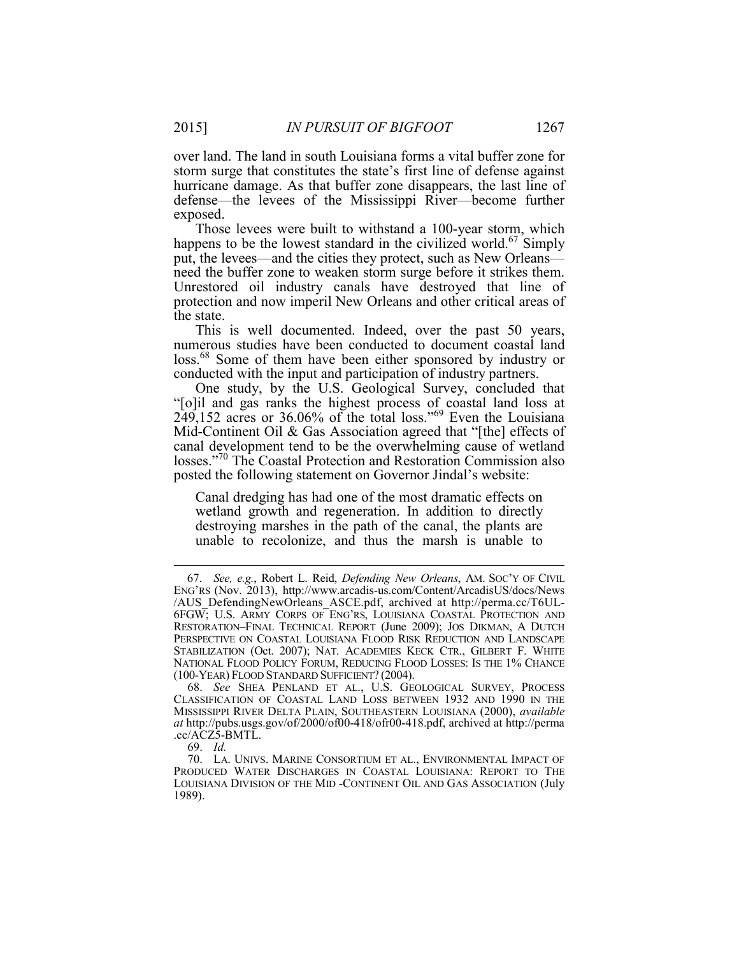storm surge that constitutes the state's first line of defense against defense—the levees of the Mississippi River—become further over land. The land in south Louisiana forms a vital buffer zone for hurricane damage. As that buffer zone disappears, the last line of exposed.

happens to be the lowest standard in the civilized world.<sup>67</sup> Simply put, the levees—and the cities they protect, such as New Orleans— Unrestored oil industry canals have destroyed that line of Those levees were built to withstand a 100-year storm, which need the buffer zone to weaken storm surge before it strikes them. protection and now imperil New Orleans and other critical areas of the state.

loss.<sup>68</sup> Some of them have been either sponsored by industry or This is well documented. Indeed, over the past 50 years, numerous studies have been conducted to document coastal land conducted with the input and participation of industry partners.

One study, by the U.S. Geological Survey, concluded that Mid-Continent Oil & Gas Association agreed that "[the] effects of canal development tend to be the overwhelming cause of wetland "[o]il and gas ranks the highest process of coastal land loss at  $249,152$  acres or 36.06% of the total loss."<sup>69</sup> Even the Louisiana losses."70 The Coastal Protection and Restoration Commission also posted the following statement on Governor Jindal's website:

 Canal dredging has had one of the most dramatic effects on destroying marshes in the path of the canal, the plants are wetland growth and regeneration. In addition to directly unable to recolonize, and thus the marsh is unable to

 ENG'RS (Nov. 2013), http://www.arcadis-us.com/Content/ArcadisUS/docs/News /AUS\_DefendingNewOrleans\_ASCE.pdf, archived at http://perma.cc/T6UL- RESTORATION–FINAL TECHNICAL REPORT (June 2009); JOS DIKMAN, A DUTCH STABILIZATION (Oct. 2007); NAT. ACADEMIES KECK CTR., GILBERT F. WHITE 67. *See, e.g.*, Robert L. Reid, *Defending New Orleans*, AM. SOC'Y OF CIVIL 6FGW; U.S. ARMY CORPS OF ENG'RS, LOUISIANA COASTAL PROTECTION AND PERSPECTIVE ON COASTAL LOUISIANA FLOOD RISK REDUCTION AND LANDSCAPE NATIONAL FLOOD POLICY FORUM, REDUCING FLOOD LOSSES: IS THE 1% CHANCE (100-YEAR) FLOOD STANDARD SUFFICIENT? (2004).

 68. *See* SHEA PENLAND ET AL., U.S. GEOLOGICAL SURVEY, PROCESS CLASSIFICATION OF COASTAL LAND LOSS BETWEEN 1932 AND 1990 IN THE MISSISSIPPI RIVER DELTA PLAIN, SOUTHEASTERN LOUISIANA (2000), *available at* http://pubs.usgs.gov/of/2000/of00-418/ofr00-418.pdf, archived at http://perma .cc/ACZ5-BMTL.

<sup>69.</sup> *Id.* 

 70. LA. UNIVS. MARINE CONSORTIUM ET AL., ENVIRONMENTAL IMPACT OF PRODUCED WATER DISCHARGES IN COASTAL LOUISIANA: REPORT TO THE LOUISIANA DIVISION OF THE MID -CONTINENT OIL AND GAS ASSOCIATION (July 1989).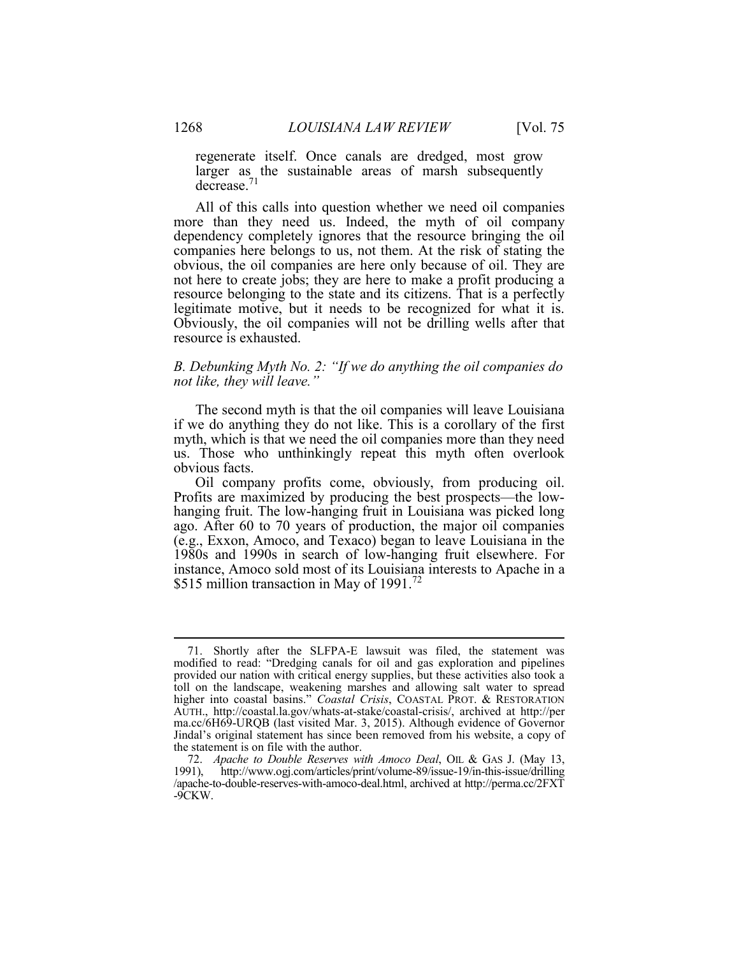regenerate itself. Once canals are dredged, most grow larger as the sustainable areas of marsh subsequently decrease.<sup>71</sup>

 dependency completely ignores that the resource bringing the oil companies here belongs to us, not them. At the risk of stating the obvious, the oil companies are here only because of oil. They are not here to create jobs; they are here to make a profit producing a resource belonging to the state and its citizens. That is a perfectly legitimate motive, but it needs to be recognized for what it is. legitimate motive, but it needs to be recognized for what it is. Obviously, the oil companies will not be drilling wells after that All of this calls into question whether we need oil companies more than they need us. Indeed, the myth of oil company resource is exhausted.

#### *B. Debunking Myth No. 2: "If we do anything the oil companies do not like, they will leave."*

 if we do anything they do not like. This is a corollary of the first myth, which is that we need the oil companies more than they need The second myth is that the oil companies will leave Louisiana us. Those who unthinkingly repeat this myth often overlook obvious facts.

 Profits are maximized by producing the best prospects—the low- ago. After 60 to 70 years of production, the major oil companies 1980s and 1990s in search of low-hanging fruit elsewhere. For Oil company profits come, obviously, from producing oil. hanging fruit. The low-hanging fruit in Louisiana was picked long (e.g., Exxon, Amoco, and Texaco) began to leave Louisiana in the instance, Amoco sold most of its Louisiana interests to Apache in a \$515 million transaction in May of 1991.<sup>72</sup>

 modified to read: "Dredging canals for oil and gas exploration and pipelines higher into coastal basins." *Coastal Crisis*, COASTAL PROT. & RESTORATION ma.cc/6H69-URQB (last visited Mar. 3, 2015). Although evidence of Governor Jindal's original statement has since been removed from his website, a copy of 71. Shortly after the SLFPA-E lawsuit was filed, the statement was provided our nation with critical energy supplies, but these activities also took a toll on the landscape, weakening marshes and allowing salt water to spread AUTH., http://coastal.la.gov/whats-at-stake/coastal-crisis/, archived at http://per the statement is on file with the author.

 72. *Apache to Double Reserves with Amoco Deal*, OIL & GAS J. (May 13, /apache-to-double-reserves-with-amoco-deal.html, archived at http://perma.cc/2FXT 1991), http://www.ogj.com/articles/print/volume-89/issue-19/in-this-issue/drilling -9CKW.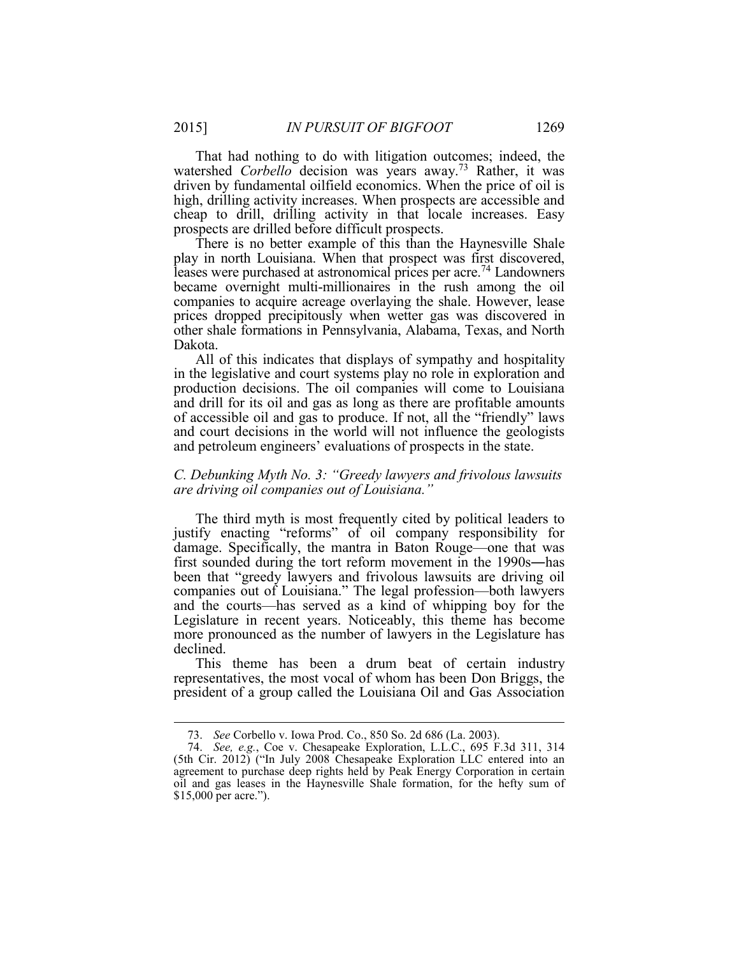That had nothing to do with litigation outcomes; indeed, the driven by fundamental oilfield economics. When the price of oil is high, drilling activity increases. When prospects are accessible and watershed *Corbello* decision was years away.<sup>73</sup> Rather, it was cheap to drill, drilling activity in that locale increases. Easy prospects are drilled before difficult prospects.

 There is no better example of this than the Haynesville Shale play in north Louisiana. When that prospect was first discovered, leases were purchased at astronomical prices per acre.<sup>74</sup> Landowners became overnight multi-millionaires in the rush among the oil companies to acquire acreage overlaying the shale. However, lease other shale formations in Pennsylvania, Alabama, Texas, and North prices dropped precipitously when wetter gas was discovered in Dakota.

 All of this indicates that displays of sympathy and hospitality and drill for its oil and gas as long as there are profitable amounts and court decisions in the world will not influence the geologists in the legislative and court systems play no role in exploration and production decisions. The oil companies will come to Louisiana of accessible oil and gas to produce. If not, all the "friendly" laws and petroleum engineers' evaluations of prospects in the state.

#### *C. Debunking Myth No. 3: "Greedy lawyers and frivolous lawsuits are driving oil companies out of Louisiana."*

 The third myth is most frequently cited by political leaders to justify enacting "reforms" of oil company responsibility for first sounded during the tort reform movement in the 1990s―has and the courts—has served as a kind of whipping boy for the damage. Specifically, the mantra in Baton Rouge—one that was been that "greedy lawyers and frivolous lawsuits are driving oil companies out of Louisiana." The legal profession—both lawyers Legislature in recent years. Noticeably, this theme has become more pronounced as the number of lawyers in the Legislature has declined.

 This theme has been a drum beat of certain industry representatives, the most vocal of whom has been Don Briggs, the president of a group called the Louisiana Oil and Gas Association

<sup>73.</sup> *See* Corbello v. Iowa Prod. Co., 850 So. 2d 686 (La. 2003).

 agreement to purchase deep rights held by Peak Energy Corporation in certain 74. *See, e.g.*, Coe v. Chesapeake Exploration, L.L.C., 695 F.3d 311, 314 (5th Cir. 2012) ("In July 2008 Chesapeake Exploration LLC entered into an oil and gas leases in the Haynesville Shale formation, for the hefty sum of \$15,000 per acre.").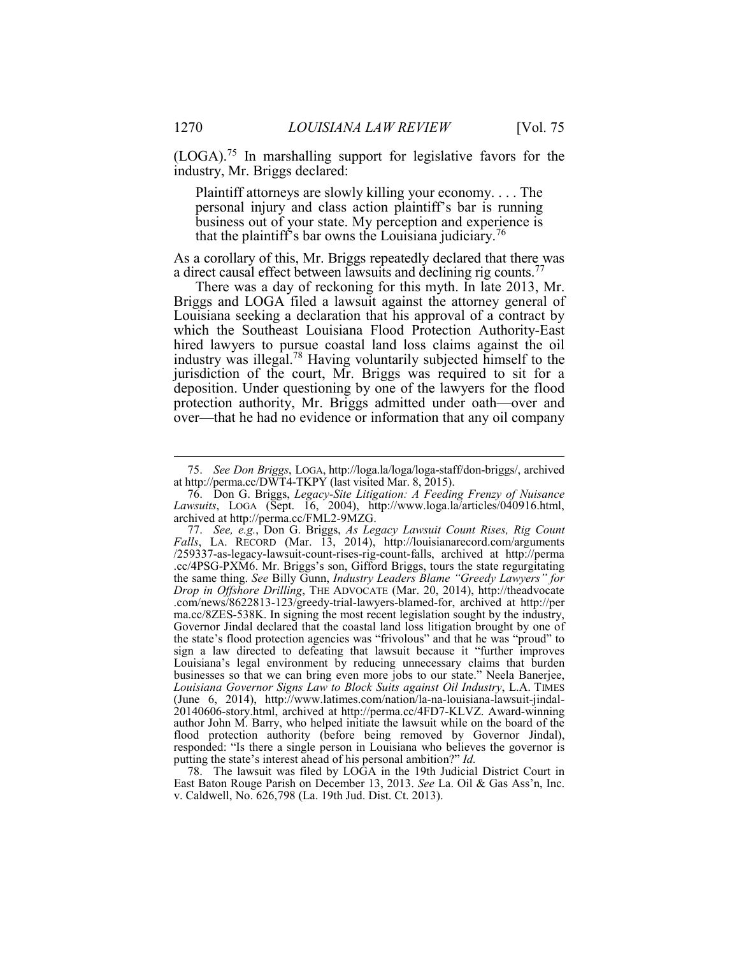(LOGA).<sup>75</sup> In marshalling support for legislative favors for the industry, Mr. Briggs declared:

Plaintiff attorneys are slowly killing your economy. . . . The personal injury and class action plaintiff's bar is running business out of your state. My perception and experience is that the plaintiff's bar owns the Louisiana judiciary.<sup>76</sup>

 As a corollary of this, Mr. Briggs repeatedly declared that there was a direct causal effect between lawsuits and declining rig counts. $^{77}$ 

 There was a day of reckoning for this myth. In late 2013, Mr. Briggs and LOGA filed a lawsuit against the attorney general of industry was illegal.78 Having voluntarily subjected himself to the deposition. Under questioning by one of the lawyers for the flood over—that he had no evidence or information that any oil company Louisiana seeking a declaration that his approval of a contract by which the Southeast Louisiana Flood Protection Authority-East hired lawyers to pursue coastal land loss claims against the oil jurisdiction of the court, Mr. Briggs was required to sit for a protection authority, Mr. Briggs admitted under oath—over and

 East Baton Rouge Parish on December 13, 2013. *See* La. Oil & Gas Ass'n, Inc. 78. The lawsuit was filed by LOGA in the 19th Judicial District Court in v. Caldwell, No. 626,798 (La. 19th Jud. Dist. Ct. 2013).

 at http://perma.cc/DWT4-TKPY (last visited Mar. 8, 2015). 75. *See Don Briggs*, LOGA, http://loga.la/loga/loga-staff/don-briggs/, archived

<sup>76.</sup> Don G. Briggs, *Legacy-Site Litigation: A Feeding Frenzy of Nuisance Lawsuits*, LOGA (Sept. 16, 2004), http://www.loga.la/articles/040916.html, archived at http://perma.cc/FML2-9MZG.

 77. *See, e.g.*, Don G. Briggs, *As Legacy Lawsuit Count Rises, Rig Count*  .cc/4PSG-PXM6. Mr. Briggs's son, Gifford Briggs, tours the state regurgitating the same thing. *See* Billy Gunn, *Industry Leaders Blame "Greedy Lawyers" for Drop in Offshore Drilling*, THE ADVOCATE (Mar. 20, 2014), http://theadvocate ma.cc/8ZES-538K. In signing the most recent legislation sought by the industry, Governor Jindal declared that the coastal land loss litigation brought by one of sign a law directed to defeating that lawsuit because it "further improves Louisiana's legal environment by reducing unnecessary claims that burden 20140606-story.html, archived at http://perma.cc/4FD7-KLVZ. Award-winning author John M. Barry, who helped initiate the lawsuit while on the board of the flood protection authority (before being removed by Governor Jindal), responded: "Is there a single person in Louisiana who believes the governor is Falls, LA. RECORD (Mar. 13, 2014), http://louisianarecord.com/arguments /259337-as-legacy-lawsuit-count-rises-rig-count-falls, archived at http://perma .com/news/8622813-123/greedy-trial-lawyers-blamed-for, archived at http://per the state's flood protection agencies was "frivolous" and that he was "proud" to businesses so that we can bring even more jobs to our state." Neela Banerjee, *Louisiana Governor Signs Law to Block Suits against Oil Industry*, L.A. TIMES (June 6, 2014), http://www.latimes.com/nation/la-na-louisiana-lawsuit-jindalputting the state's interest ahead of his personal ambition?" *Id.*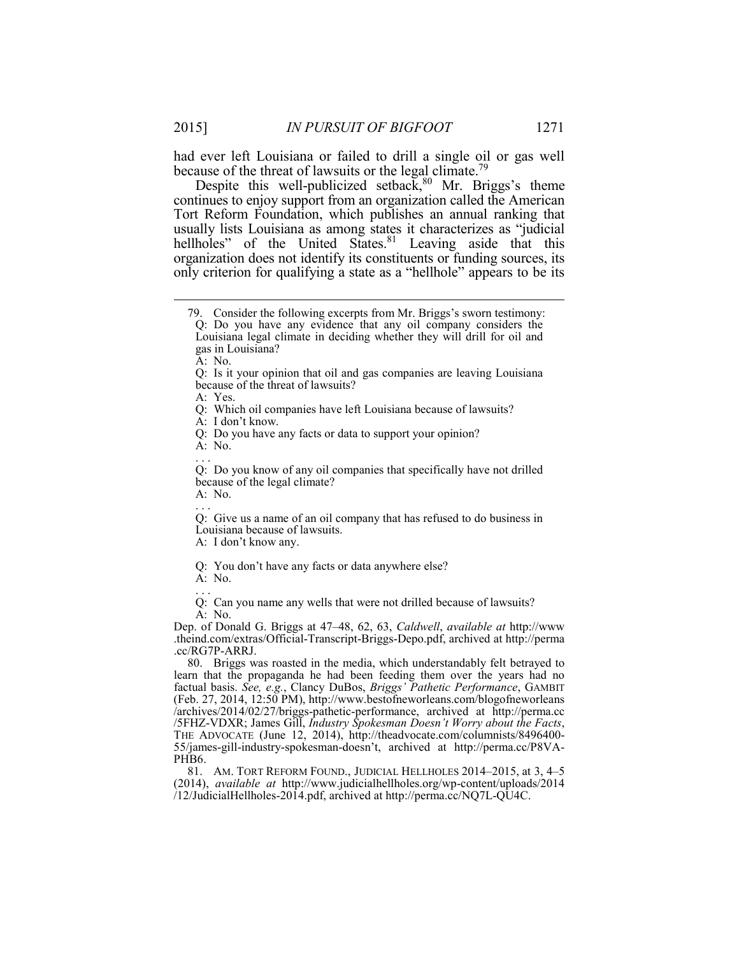had ever left Louisiana or failed to drill a single oil or gas well because of the threat of lawsuits or the legal climate.<sup>79</sup>

 Tort Reform Foundation, which publishes an annual ranking that usually lists Louisiana as among states it characterizes as "judicial hellholes" of the United States.<sup>81</sup> Leaving aside that this organization does not identify its constituents or funding sources, its only criterion for qualifying a state as a "hellhole" appears to be its Despite this well-publicized setback, $80$  Mr. Briggs's theme continues to enjoy support from an organization called the American

A: No.

 $\overline{a}$ 

A: Yes.

Q: Which oil companies have left Louisiana because of lawsuits?

A: I don't know.

A: No.<br>. . .

 Q: Do you know of any oil companies that specifically have not drilled because of the legal climate?

A: No.<br>. . .

 Q: Give us a name of an oil company that has refused to do business in Louisiana because of lawsuits.

A: I don't know any.

Q: You don't have any facts or data anywhere else?

A: No. . . .

 Q: Can you name any wells that were not drilled because of lawsuits? A: No.

 Dep. of Donald G. Briggs at 47–48, 62, 63, *Caldwell*, *available at* http://www .theind.com/extras/Official-Transcript-Briggs-Depo.pdf, archived at http://perma .cc/RG7P-ARRJ.

 80. Briggs was roasted in the media, which understandably felt betrayed to learn that the propaganda he had been feeding them over the years had no factual basis. *See, e.g.*, Clancy DuBos, *Briggs' Pathetic Performance*, GAMBIT (Feb. 27, 2014, 12:50 PM), http://www.bestofneworleans.com/blogofneworleans /5FHZ-VDXR; James Gill, *Industry Spokesman Doesn't Worry about the Facts*, THE ADVOCATE (June 12, 2014), http://theadvocate.com/columnists/8496400- /archives/2014/02/27/briggs-pathetic-performance, archived at http://perma.cc 55/james-gill-industry-spokesman-doesn't, archived at http://perma.cc/P8VA-PHB<sub>6</sub>.

 81. AM. TORT REFORM FOUND., JUDICIAL HELLHOLES 2014–2015, at 3, 4–5 (2014), *available at* http://www.judicialhellholes.org/wp-content/uploads/2014 /12/JudicialHellholes-2014.pdf, archived at http://perma.cc/NQ7L-QU4C.

<sup>79.</sup> Consider the following excerpts from Mr. Briggs's sworn testimony:

 Q: Do you have any evidence that any oil company considers the Louisiana legal climate in deciding whether they will drill for oil and gas in Louisiana?

 Q: Is it your opinion that oil and gas companies are leaving Louisiana because of the threat of lawsuits?

 Q: Do you have any facts or data to support your opinion?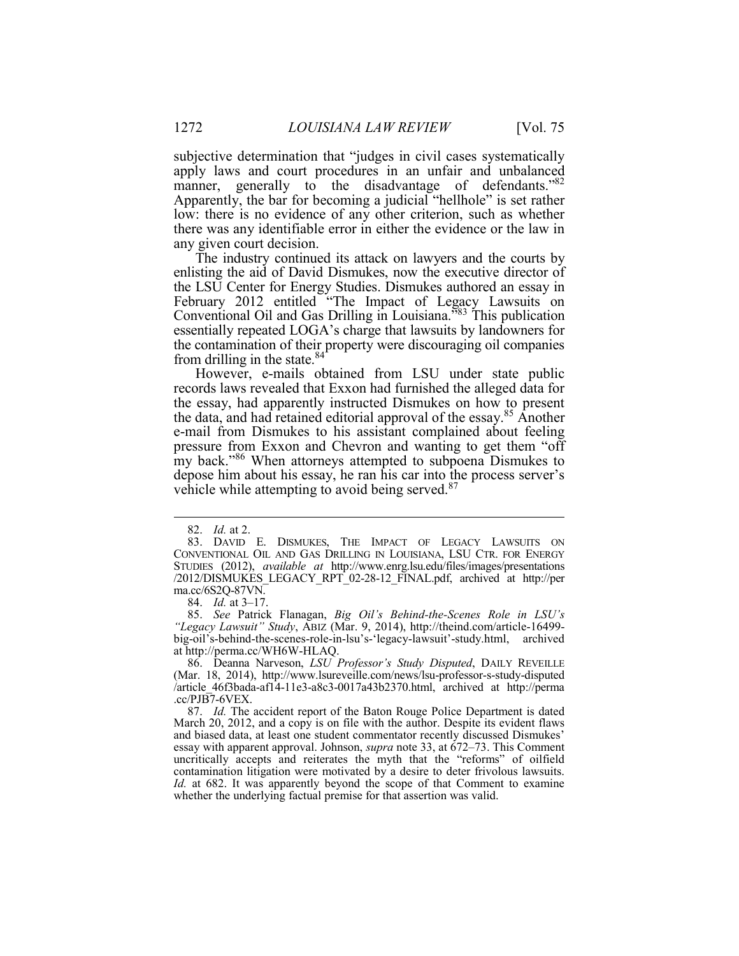manner, generally to the disadvantage of defendants."82 Apparently, the bar for becoming a judicial "hellhole" is set rather low: there is no evidence of any other criterion, such as whether there was any identifiable error in either the evidence or the law in subjective determination that "judges in civil cases systematically apply laws and court procedures in an unfair and unbalanced any given court decision.

 The industry continued its attack on lawyers and the courts by enlisting the aid of David Dismukes, now the executive director of essentially repeated LOGA's charge that lawsuits by landowners for the contamination of their property were discouraging oil companies Ī the LSU Center for Energy Studies. Dismukes authored an essay in February 2012 entitled "The Impact of Legacy Lawsuits on Conventional Oil and Gas Drilling in Louisiana."83 This publication from drilling in the state.<sup>84</sup>

 records laws revealed that Exxon had furnished the alleged data for pressure from Exxon and Chevron and wanting to get them "off However, e-mails obtained from LSU under state public the essay, had apparently instructed Dismukes on how to present the data, and had retained editorial approval of the essay.85 Another e-mail from Dismukes to his assistant complained about feeling my back."<sup>86</sup> When attorneys attempted to subpoena Dismukes to depose him about his essay, he ran his car into the process server's vehicle while attempting to avoid being served. $87$ 

 $\overline{a}$ 

84. *Id.* at 3–17.

85. *See* Patrick Flanagan, *Big Oil's Behind-the-Scenes Role in LSU's "Legacy Lawsuit" Study*, ABIZ (Mar. 9, 2014), http://theind.com/article-16499- big-oil's-behind-the-scenes-role-in-lsu's-'legacy-lawsuit'-study.html, archived at http://perma.cc/WH6W-HLAQ.

86. Deanna Narveson, *LSU Professor's Study Disputed*, DAILY REVEILLE (Mar. 18, 2014), http://www.lsureveille.com/news/lsu-professor-s-study-disputed /article\_46f3bada-af14-11e3-a8c3-0017a43b2370.html, archived at http://perma .cc/PJB7-6VEX.

 87. *Id.* The accident report of the Baton Rouge Police Department is dated March 20, 2012, and a copy is on file with the author. Despite its evident flaws and biased data, at least one student commentator recently discussed Dismukes' essay with apparent approval. Johnson, *supra* note 33, at 672–73. This Comment uncritically accepts and reiterates the myth that the "reforms" of oilfield contamination litigation were motivated by a desire to deter frivolous lawsuits. *Id.* at 682. It was apparently beyond the scope of that Comment to examine whether the underlying factual premise for that assertion was valid.

<sup>82.</sup> *Id.* at 2.

 83. DAVID E. DISMUKES, THE IMPACT OF LEGACY LAWSUITS ON CONVENTIONAL OIL AND GAS DRILLING IN LOUISIANA, LSU CTR. FOR ENERGY ma.cc/6S2Q-87VN. STUDIES (2012), *available at* http://www.enrg.lsu.edu/files/images/presentations /2012/DISMUKES\_LEGACY\_RPT\_02-28-12\_FINAL.pdf, archived at http://per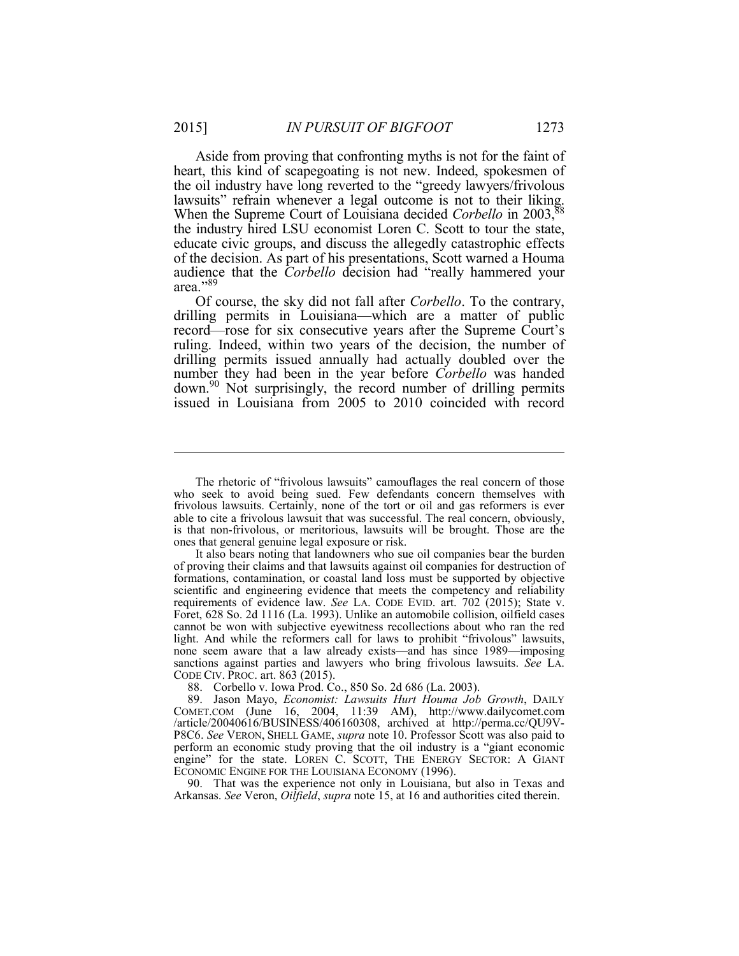heart, this kind of scapegoating is not new. Indeed, spokesmen of the oil industry have long reverted to the "greedy lawyers/frivolous lawsuits" refrain whenever a legal outcome is not to their liking. When the Supreme Court of Louisiana decided *Corbello* in 2003,<sup>88</sup> the industry hired LSU economist Loren C. Scott to tour the state, educate civic groups, and discuss the allegedly catastrophic effects audience that the *Corbello* decision had "really hammered your Aside from proving that confronting myths is not for the faint of of the decision. As part of his presentations, Scott warned a Houma area."89

 number they had been in the year before *Corbello* was handed down.<sup>90</sup> Not surprisingly, the record number of drilling permits Of course, the sky did not fall after *Corbello*. To the contrary, drilling permits in Louisiana—which are a matter of public record—rose for six consecutive years after the Supreme Court's ruling. Indeed, within two years of the decision, the number of drilling permits issued annually had actually doubled over the issued in Louisiana from 2005 to 2010 coincided with record

88. Corbello v. Iowa Prod. Co., 850 So. 2d 686 (La. 2003).

90. That was the experience not only in Louisiana, but also in Texas and Arkansas. *See* Veron, *Oilfield*, *supra* note 15, at 16 and authorities cited therein.

 frivolous lawsuits. Certainly, none of the tort or oil and gas reformers is ever able to cite a frivolous lawsuit that was successful. The real concern, obviously, ones that general genuine legal exposure or risk. The rhetoric of "frivolous lawsuits" camouflages the real concern of those who seek to avoid being sued. Few defendants concern themselves with is that non-frivolous, or meritorious, lawsuits will be brought. Those are the

 of proving their claims and that lawsuits against oil companies for destruction of formations, contamination, or coastal land loss must be supported by objective scientific and engineering evidence that meets the competency and reliability cannot be won with subjective eyewitness recollections about who ran the red light. And while the reformers call for laws to prohibit "frivolous" lawsuits, none seem aware that a law already exists—and has since 1989—imposing sanctions against parties and lawyers who bring frivolous lawsuits. *See* LA. CODE CIV. PROC. art. 863 (2015). It also bears noting that landowners who sue oil companies bear the burden requirements of evidence law. *See* LA. CODE EVID. art. 702 (2015); State v. Foret, 628 So. 2d 1116 (La. 1993). Unlike an automobile collision, oilfield cases

 COMET.COM (June 16, 2004, 11:39 AM), http://www.dailycomet.com P8C6. *See* VERON, SHELL GAME, *supra* note 10. Professor Scott was also paid to perform an economic study proving that the oil industry is a "giant economic engine" for the state. LOREN C. SCOTT, THE ENERGY SECTOR: A GIANT 89. Jason Mayo, *Economist: Lawsuits Hurt Houma Job Growth*, DAILY /article/20040616/BUSINESS/406160308, archived at http://perma.cc/QU9V-ECONOMIC ENGINE FOR THE LOUISIANA ECONOMY (1996).